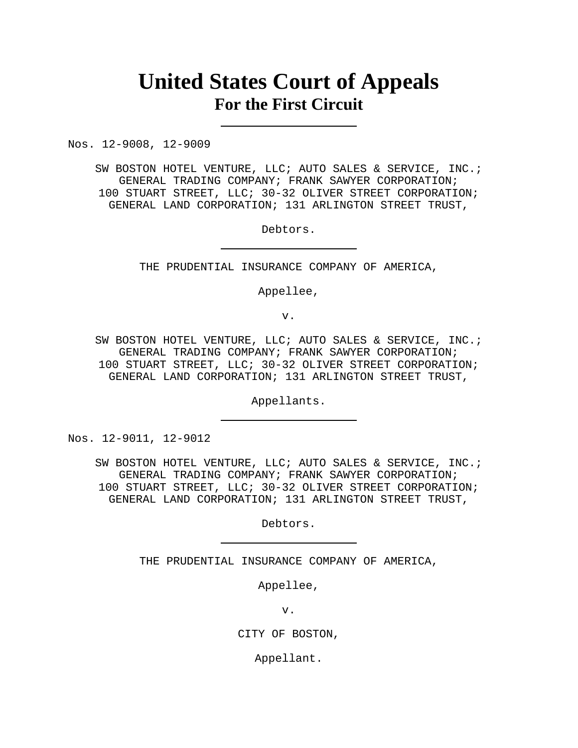# **United States Court of Appeals For the First Circuit**

Nos. 12-9008, 12-9009

SW BOSTON HOTEL VENTURE, LLC; AUTO SALES & SERVICE, INC.; GENERAL TRADING COMPANY; FRANK SAWYER CORPORATION; 100 STUART STREET, LLC; 30-32 OLIVER STREET CORPORATION; GENERAL LAND CORPORATION; 131 ARLINGTON STREET TRUST,

Debtors.

THE PRUDENTIAL INSURANCE COMPANY OF AMERICA,

Appellee,

v.

SW BOSTON HOTEL VENTURE, LLC; AUTO SALES & SERVICE, INC.; GENERAL TRADING COMPANY; FRANK SAWYER CORPORATION; 100 STUART STREET, LLC; 30-32 OLIVER STREET CORPORATION; GENERAL LAND CORPORATION; 131 ARLINGTON STREET TRUST,

Appellants.

Nos. 12-9011, 12-9012

SW BOSTON HOTEL VENTURE, LLC; AUTO SALES & SERVICE, INC.; GENERAL TRADING COMPANY; FRANK SAWYER CORPORATION; 100 STUART STREET, LLC; 30-32 OLIVER STREET CORPORATION; GENERAL LAND CORPORATION; 131 ARLINGTON STREET TRUST,

Debtors.

THE PRUDENTIAL INSURANCE COMPANY OF AMERICA,

Appellee,

v.

CITY OF BOSTON,

Appellant.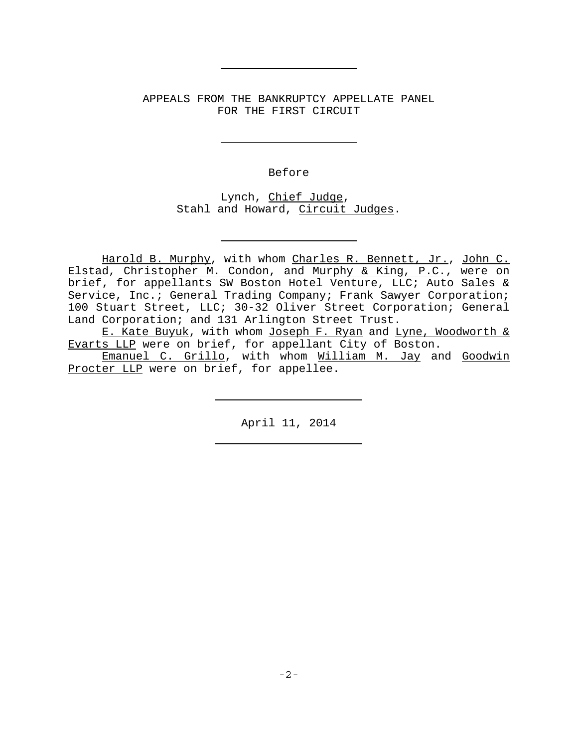APPEALS FROM THE BANKRUPTCY APPELLATE PANEL FOR THE FIRST CIRCUIT

Before

Lynch, Chief Judge, Stahl and Howard, Circuit Judges.

Harold B. Murphy, with whom Charles R. Bennett, Jr., John C. Elstad, Christopher M. Condon, and Murphy & King, P.C., were on brief, for appellants SW Boston Hotel Venture, LLC; Auto Sales & Service, Inc.; General Trading Company; Frank Sawyer Corporation; 100 Stuart Street, LLC; 30-32 Oliver Street Corporation; General Land Corporation; and 131 Arlington Street Trust.

E. Kate Buyuk, with whom Joseph F. Ryan and Lyne, Woodworth & Evarts LLP were on brief, for appellant City of Boston.

Emanuel C. Grillo, with whom William M. Jay and Goodwin Procter LLP were on brief, for appellee.

April 11, 2014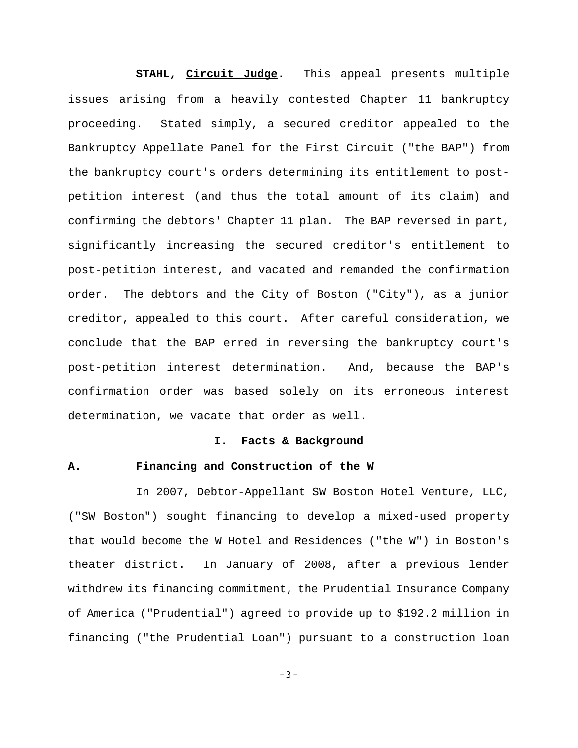**STAHL, Circuit Judge**. This appeal presents multiple issues arising from a heavily contested Chapter 11 bankruptcy proceeding. Stated simply, a secured creditor appealed to the Bankruptcy Appellate Panel for the First Circuit ("the BAP") from the bankruptcy court's orders determining its entitlement to postpetition interest (and thus the total amount of its claim) and confirming the debtors' Chapter 11 plan. The BAP reversed in part, significantly increasing the secured creditor's entitlement to post-petition interest, and vacated and remanded the confirmation order. The debtors and the City of Boston ("City"), as a junior creditor, appealed to this court. After careful consideration, we conclude that the BAP erred in reversing the bankruptcy court's post-petition interest determination. And, because the BAP's confirmation order was based solely on its erroneous interest determination, we vacate that order as well.

#### **I. Facts & Background**

# **A. Financing and Construction of the W**

In 2007, Debtor-Appellant SW Boston Hotel Venture, LLC, ("SW Boston") sought financing to develop a mixed-used property that would become the W Hotel and Residences ("the W") in Boston's theater district. In January of 2008, after a previous lender withdrew its financing commitment, the Prudential Insurance Company of America ("Prudential") agreed to provide up to \$192.2 million in financing ("the Prudential Loan") pursuant to a construction loan

-3-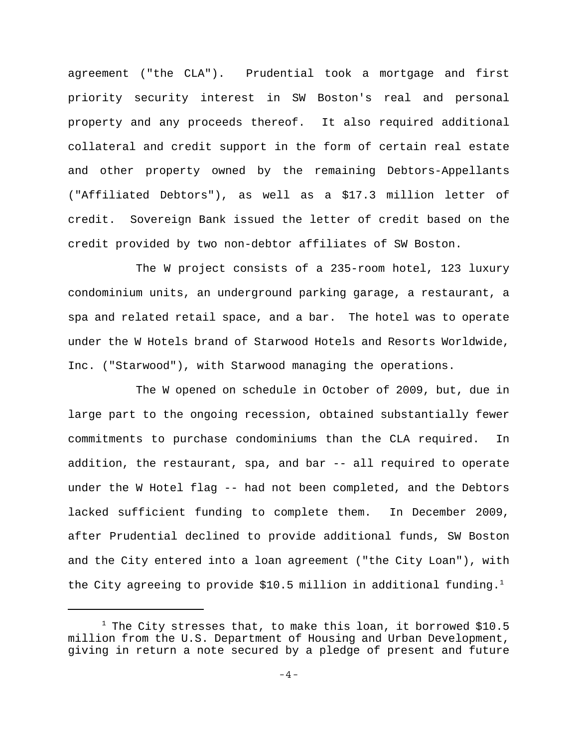agreement ("the CLA"). Prudential took a mortgage and first priority security interest in SW Boston's real and personal property and any proceeds thereof. It also required additional collateral and credit support in the form of certain real estate and other property owned by the remaining Debtors-Appellants ("Affiliated Debtors"), as well as a \$17.3 million letter of credit. Sovereign Bank issued the letter of credit based on the credit provided by two non-debtor affiliates of SW Boston.

The W project consists of a 235-room hotel, 123 luxury condominium units, an underground parking garage, a restaurant, a spa and related retail space, and a bar. The hotel was to operate under the W Hotels brand of Starwood Hotels and Resorts Worldwide, Inc. ("Starwood"), with Starwood managing the operations.

The W opened on schedule in October of 2009, but, due in large part to the ongoing recession, obtained substantially fewer commitments to purchase condominiums than the CLA required. In addition, the restaurant, spa, and bar -- all required to operate under the W Hotel flag -- had not been completed, and the Debtors lacked sufficient funding to complete them. In December 2009, after Prudential declined to provide additional funds, SW Boston and the City entered into a loan agreement ("the City Loan"), with the City agreeing to provide \$10.5 million in additional funding.<sup>1</sup>

<sup>&</sup>lt;sup>1</sup> The City stresses that, to make this loan, it borrowed \$10.5 million from the U.S. Department of Housing and Urban Development, giving in return a note secured by a pledge of present and future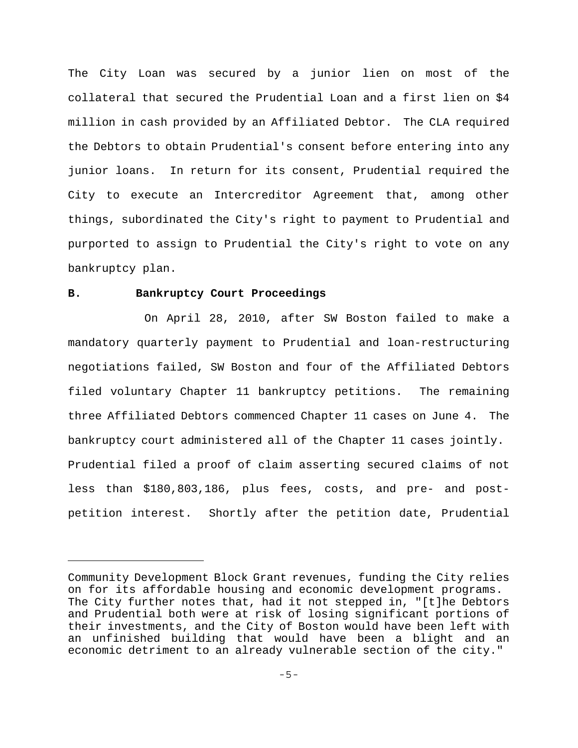The City Loan was secured by a junior lien on most of the collateral that secured the Prudential Loan and a first lien on \$4 million in cash provided by an Affiliated Debtor. The CLA required the Debtors to obtain Prudential's consent before entering into any junior loans. In return for its consent, Prudential required the City to execute an Intercreditor Agreement that, among other things, subordinated the City's right to payment to Prudential and purported to assign to Prudential the City's right to vote on any bankruptcy plan.

## **B. Bankruptcy Court Proceedings**

 On April 28, 2010, after SW Boston failed to make a mandatory quarterly payment to Prudential and loan-restructuring negotiations failed, SW Boston and four of the Affiliated Debtors filed voluntary Chapter 11 bankruptcy petitions. The remaining three Affiliated Debtors commenced Chapter 11 cases on June 4. The bankruptcy court administered all of the Chapter 11 cases jointly. Prudential filed a proof of claim asserting secured claims of not less than \$180,803,186, plus fees, costs, and pre- and postpetition interest. Shortly after the petition date, Prudential

Community Development Block Grant revenues, funding the City relies on for its affordable housing and economic development programs. The City further notes that, had it not stepped in, "[t]he Debtors and Prudential both were at risk of losing significant portions of their investments, and the City of Boston would have been left with an unfinished building that would have been a blight and an economic detriment to an already vulnerable section of the city."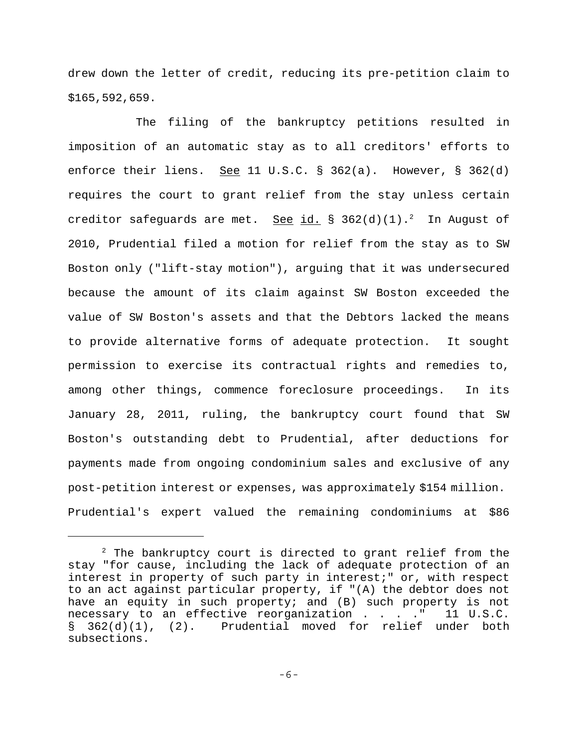drew down the letter of credit, reducing its pre-petition claim to \$165,592,659.

The filing of the bankruptcy petitions resulted in imposition of an automatic stay as to all creditors' efforts to enforce their liens. See 11 U.S.C. § 362(a). However, § 362(d) requires the court to grant relief from the stay unless certain creditor safeguards are met. See id. § 362(d)(1).<sup>2</sup> In August of 2010, Prudential filed a motion for relief from the stay as to SW Boston only ("lift-stay motion"), arguing that it was undersecured because the amount of its claim against SW Boston exceeded the value of SW Boston's assets and that the Debtors lacked the means to provide alternative forms of adequate protection. It sought permission to exercise its contractual rights and remedies to, among other things, commence foreclosure proceedings. In its January 28, 2011, ruling, the bankruptcy court found that SW Boston's outstanding debt to Prudential, after deductions for payments made from ongoing condominium sales and exclusive of any post-petition interest or expenses, was approximately \$154 million. Prudential's expert valued the remaining condominiums at \$86

 $2$  The bankruptcy court is directed to grant relief from the stay "for cause, including the lack of adequate protection of an interest in property of such party in interest;" or, with respect to an act against particular property, if "(A) the debtor does not have an equity in such property; and (B) such property is not necessary to an effective reorganization . . . . " 11 U.S.C. § 362(d)(1), (2). Prudential moved for relief under both subsections.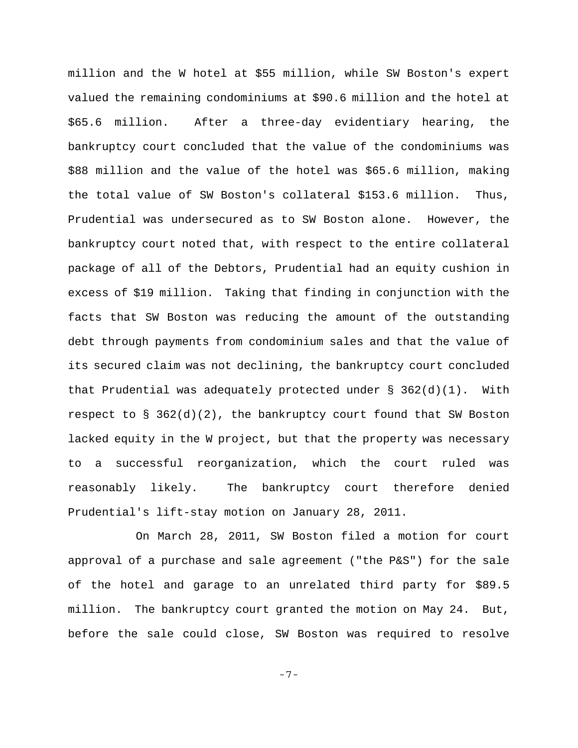million and the W hotel at \$55 million, while SW Boston's expert valued the remaining condominiums at \$90.6 million and the hotel at \$65.6 million. After a three-day evidentiary hearing, the bankruptcy court concluded that the value of the condominiums was \$88 million and the value of the hotel was \$65.6 million, making the total value of SW Boston's collateral \$153.6 million. Thus, Prudential was undersecured as to SW Boston alone. However, the bankruptcy court noted that, with respect to the entire collateral package of all of the Debtors, Prudential had an equity cushion in excess of \$19 million. Taking that finding in conjunction with the facts that SW Boston was reducing the amount of the outstanding debt through payments from condominium sales and that the value of its secured claim was not declining, the bankruptcy court concluded that Prudential was adequately protected under  $\S$  362(d)(1). With respect to § 362(d)(2), the bankruptcy court found that SW Boston lacked equity in the W project, but that the property was necessary to a successful reorganization, which the court ruled was reasonably likely. The bankruptcy court therefore denied Prudential's lift-stay motion on January 28, 2011.

On March 28, 2011, SW Boston filed a motion for court approval of a purchase and sale agreement ("the P&S") for the sale of the hotel and garage to an unrelated third party for \$89.5 million. The bankruptcy court granted the motion on May 24. But, before the sale could close, SW Boston was required to resolve

-7-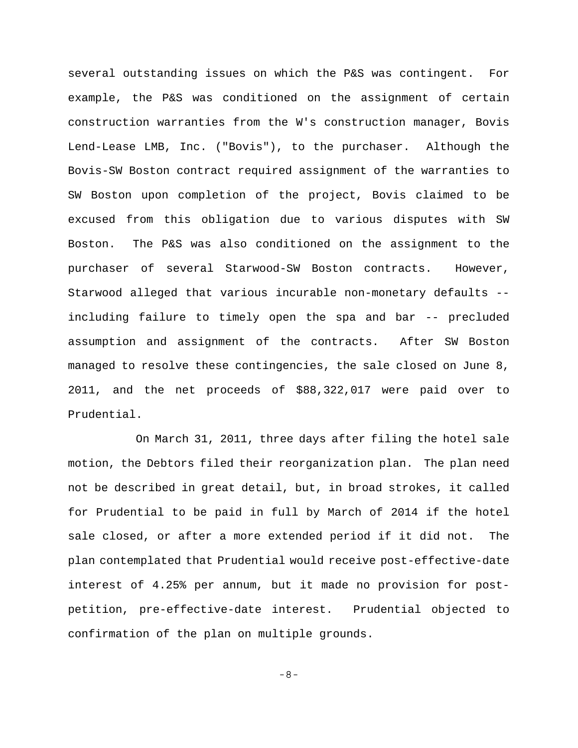several outstanding issues on which the P&S was contingent. For example, the P&S was conditioned on the assignment of certain construction warranties from the W's construction manager, Bovis Lend-Lease LMB, Inc. ("Bovis"), to the purchaser. Although the Bovis-SW Boston contract required assignment of the warranties to SW Boston upon completion of the project, Bovis claimed to be excused from this obligation due to various disputes with SW Boston. The P&S was also conditioned on the assignment to the purchaser of several Starwood-SW Boston contracts. However, Starwood alleged that various incurable non-monetary defaults - including failure to timely open the spa and bar -- precluded assumption and assignment of the contracts. After SW Boston managed to resolve these contingencies, the sale closed on June 8, 2011, and the net proceeds of \$88,322,017 were paid over to Prudential.

On March 31, 2011, three days after filing the hotel sale motion, the Debtors filed their reorganization plan. The plan need not be described in great detail, but, in broad strokes, it called for Prudential to be paid in full by March of 2014 if the hotel sale closed, or after a more extended period if it did not. The plan contemplated that Prudential would receive post-effective-date interest of 4.25% per annum, but it made no provision for postpetition, pre-effective-date interest. Prudential objected to confirmation of the plan on multiple grounds.

-8-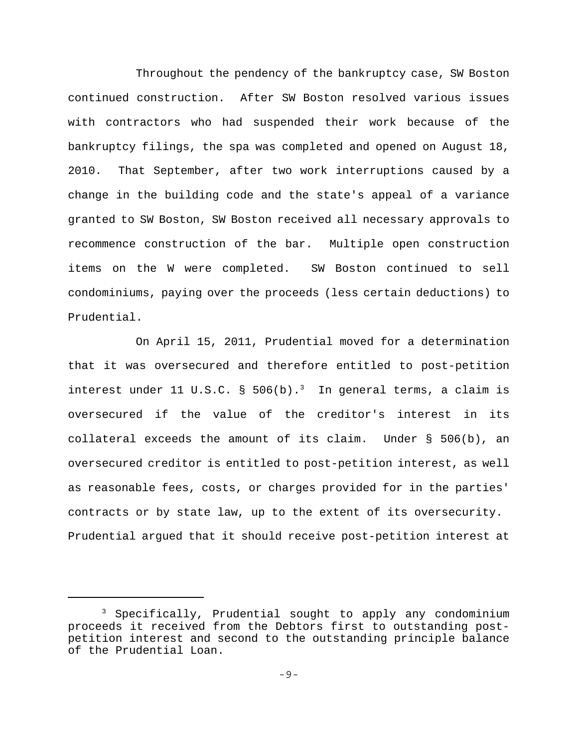Throughout the pendency of the bankruptcy case, SW Boston continued construction. After SW Boston resolved various issues with contractors who had suspended their work because of the bankruptcy filings, the spa was completed and opened on August 18, 2010. That September, after two work interruptions caused by a change in the building code and the state's appeal of a variance granted to SW Boston, SW Boston received all necessary approvals to recommence construction of the bar. Multiple open construction items on the W were completed. SW Boston continued to sell condominiums, paying over the proceeds (less certain deductions) to Prudential.

On April 15, 2011, Prudential moved for a determination that it was oversecured and therefore entitled to post-petition interest under 11 U.S.C. § 506(b).<sup>3</sup> In general terms, a claim is oversecured if the value of the creditor's interest in its collateral exceeds the amount of its claim. Under § 506(b), an oversecured creditor is entitled to post-petition interest, as well as reasonable fees, costs, or charges provided for in the parties' contracts or by state law, up to the extent of its oversecurity. Prudential argued that it should receive post-petition interest at

<sup>&</sup>lt;sup>3</sup> Specifically, Prudential sought to apply any condominium proceeds it received from the Debtors first to outstanding postpetition interest and second to the outstanding principle balance of the Prudential Loan.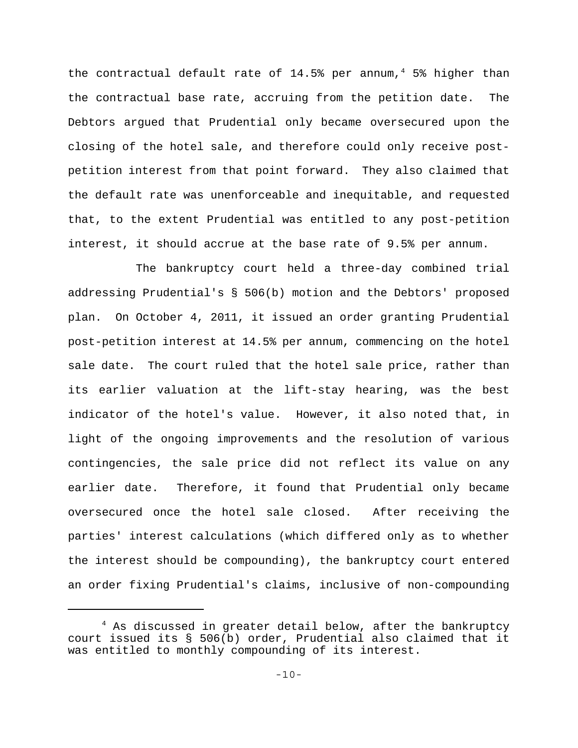the contractual default rate of  $14.5$ <sup>8</sup> per annum,<sup>4</sup> 5<sup>8</sup> higher than the contractual base rate, accruing from the petition date. The Debtors argued that Prudential only became oversecured upon the closing of the hotel sale, and therefore could only receive postpetition interest from that point forward. They also claimed that the default rate was unenforceable and inequitable, and requested that, to the extent Prudential was entitled to any post-petition interest, it should accrue at the base rate of 9.5% per annum.

The bankruptcy court held a three-day combined trial addressing Prudential's § 506(b) motion and the Debtors' proposed plan. On October 4, 2011, it issued an order granting Prudential post-petition interest at 14.5% per annum, commencing on the hotel sale date. The court ruled that the hotel sale price, rather than its earlier valuation at the lift-stay hearing, was the best indicator of the hotel's value. However, it also noted that, in light of the ongoing improvements and the resolution of various contingencies, the sale price did not reflect its value on any earlier date. Therefore, it found that Prudential only became oversecured once the hotel sale closed. After receiving the parties' interest calculations (which differed only as to whether the interest should be compounding), the bankruptcy court entered an order fixing Prudential's claims, inclusive of non-compounding

<sup>&</sup>lt;sup>4</sup> As discussed in greater detail below, after the bankruptcy court issued its § 506(b) order, Prudential also claimed that it was entitled to monthly compounding of its interest.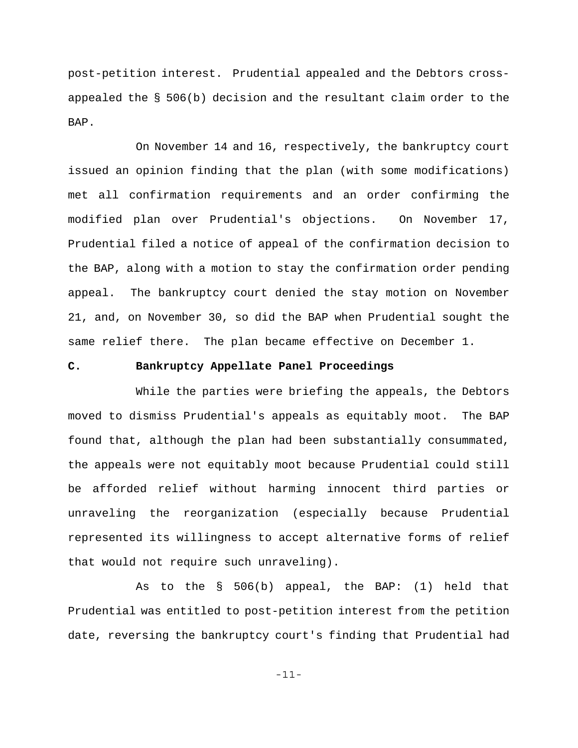post-petition interest. Prudential appealed and the Debtors crossappealed the § 506(b) decision and the resultant claim order to the BAP.

On November 14 and 16, respectively, the bankruptcy court issued an opinion finding that the plan (with some modifications) met all confirmation requirements and an order confirming the modified plan over Prudential's objections. On November 17, Prudential filed a notice of appeal of the confirmation decision to the BAP, along with a motion to stay the confirmation order pending appeal. The bankruptcy court denied the stay motion on November 21, and, on November 30, so did the BAP when Prudential sought the same relief there. The plan became effective on December 1.

## **C. Bankruptcy Appellate Panel Proceedings**

While the parties were briefing the appeals, the Debtors moved to dismiss Prudential's appeals as equitably moot. The BAP found that, although the plan had been substantially consummated, the appeals were not equitably moot because Prudential could still be afforded relief without harming innocent third parties or unraveling the reorganization (especially because Prudential represented its willingness to accept alternative forms of relief that would not require such unraveling).

As to the § 506(b) appeal, the BAP: (1) held that Prudential was entitled to post-petition interest from the petition date, reversing the bankruptcy court's finding that Prudential had

-11-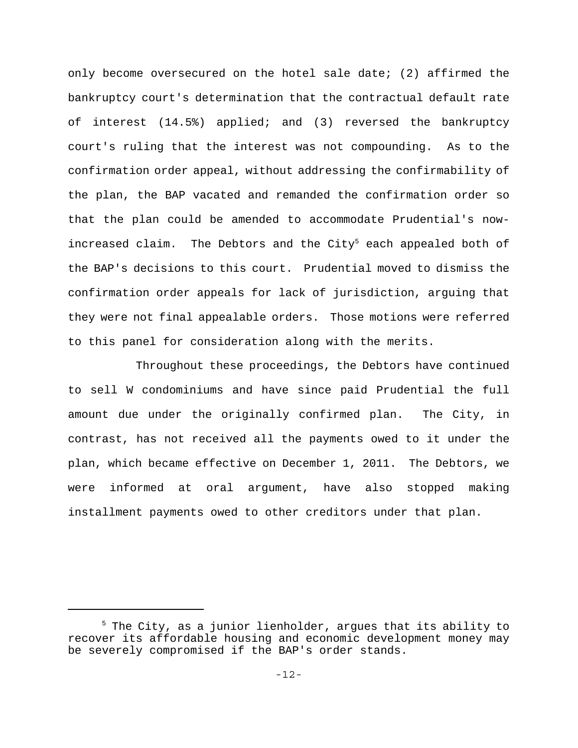only become oversecured on the hotel sale date; (2) affirmed the bankruptcy court's determination that the contractual default rate of interest (14.5%) applied; and (3) reversed the bankruptcy court's ruling that the interest was not compounding. As to the confirmation order appeal, without addressing the confirmability of the plan, the BAP vacated and remanded the confirmation order so that the plan could be amended to accommodate Prudential's nowincreased claim. The Debtors and the City<sup>5</sup> each appealed both of the BAP's decisions to this court. Prudential moved to dismiss the confirmation order appeals for lack of jurisdiction, arguing that they were not final appealable orders. Those motions were referred to this panel for consideration along with the merits.

Throughout these proceedings, the Debtors have continued to sell W condominiums and have since paid Prudential the full amount due under the originally confirmed plan. The City, in contrast, has not received all the payments owed to it under the plan, which became effective on December 1, 2011. The Debtors, we were informed at oral argument, have also stopped making installment payments owed to other creditors under that plan.

<sup>&</sup>lt;sup>5</sup> The City, as a junior lienholder, argues that its ability to recover its affordable housing and economic development money may be severely compromised if the BAP's order stands.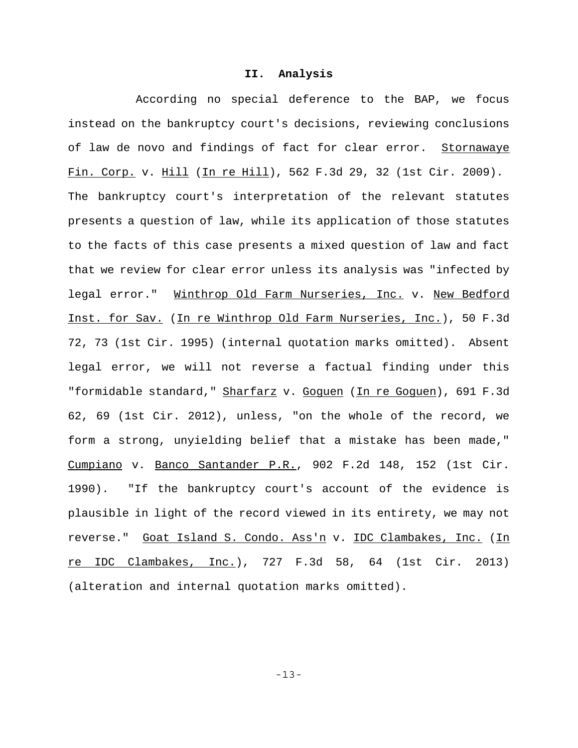#### **II. Analysis**

According no special deference to the BAP, we focus instead on the bankruptcy court's decisions, reviewing conclusions of law de novo and findings of fact for clear error. Stornawaye Fin. Corp. v. Hill (In re Hill), 562 F.3d 29, 32 (1st Cir. 2009). The bankruptcy court's interpretation of the relevant statutes presents a question of law, while its application of those statutes to the facts of this case presents a mixed question of law and fact that we review for clear error unless its analysis was "infected by legal error." Winthrop Old Farm Nurseries, Inc. v. New Bedford Inst. for Sav. (In re Winthrop Old Farm Nurseries, Inc.), 50 F.3d 72, 73 (1st Cir. 1995) (internal quotation marks omitted). Absent legal error, we will not reverse a factual finding under this "formidable standard," Sharfarz v. Goguen (In re Goguen), 691 F.3d 62, 69 (1st Cir. 2012), unless, "on the whole of the record, we form a strong, unyielding belief that a mistake has been made," Cumpiano v. Banco Santander P.R., 902 F.2d 148, 152 (1st Cir. 1990). "If the bankruptcy court's account of the evidence is plausible in light of the record viewed in its entirety, we may not reverse." Goat Island S. Condo. Ass'n v. IDC Clambakes, Inc. (In re IDC Clambakes, Inc.), 727 F.3d 58, 64 (1st Cir. 2013) (alteration and internal quotation marks omitted).

-13-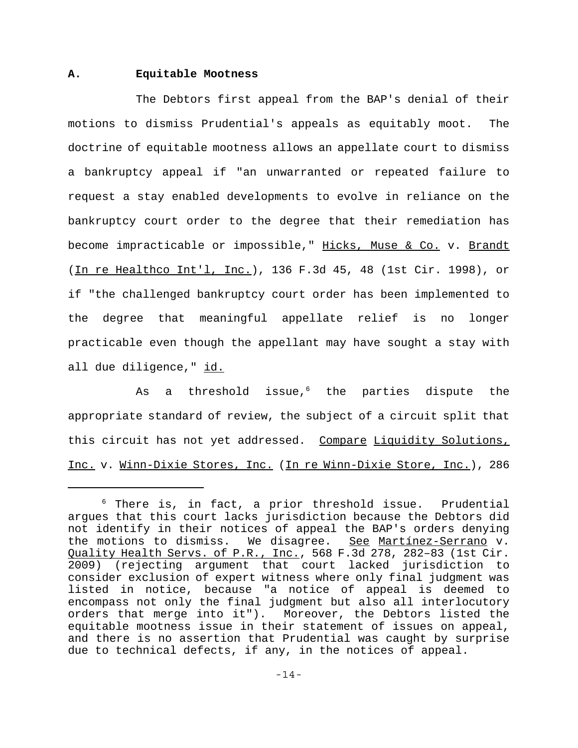## **A. Equitable Mootness**

The Debtors first appeal from the BAP's denial of their motions to dismiss Prudential's appeals as equitably moot. The doctrine of equitable mootness allows an appellate court to dismiss a bankruptcy appeal if "an unwarranted or repeated failure to request a stay enabled developments to evolve in reliance on the bankruptcy court order to the degree that their remediation has become impracticable or impossible," Hicks, Muse & Co. v. Brandt (In re Healthco Int'l, Inc.), 136 F.3d 45, 48 (1st Cir. 1998), or if "the challenged bankruptcy court order has been implemented to the degree that meaningful appellate relief is no longer practicable even though the appellant may have sought a stay with all due diligence," id.

As a threshold issue, $6$  the parties dispute the appropriate standard of review, the subject of a circuit split that this circuit has not yet addressed. Compare Liquidity Solutions, Inc. v. Winn-Dixie Stores, Inc. (In re Winn-Dixie Store, Inc.), 286

<sup>6</sup> There is, in fact, a prior threshold issue. Prudential argues that this court lacks jurisdiction because the Debtors did not identify in their notices of appeal the BAP's orders denying the motions to dismiss. We disagree. See Martínez-Serrano v. Quality Health Servs. of P.R., Inc., 568 F.3d 278, 282–83 (1st Cir. 2009) (rejecting argument that court lacked jurisdiction to consider exclusion of expert witness where only final judgment was listed in notice, because "a notice of appeal is deemed to encompass not only the final judgment but also all interlocutory orders that merge into it"). Moreover, the Debtors listed the equitable mootness issue in their statement of issues on appeal, and there is no assertion that Prudential was caught by surprise due to technical defects, if any, in the notices of appeal.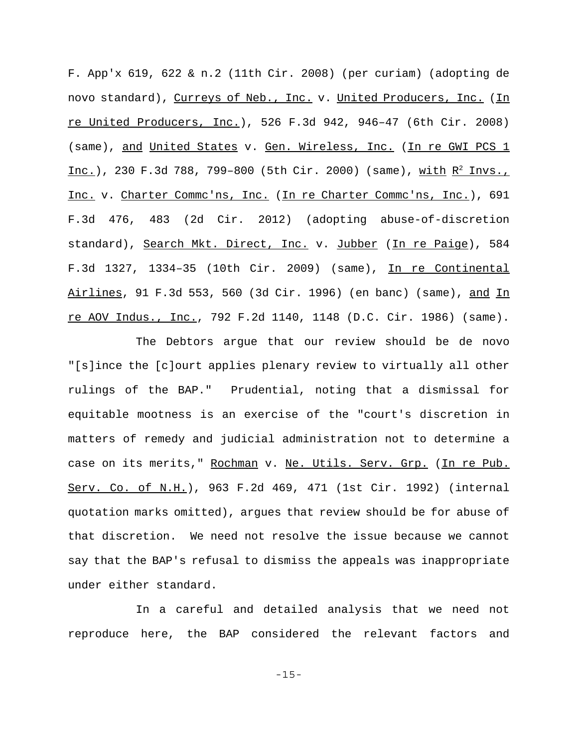F. App'x 619, 622 & n.2 (11th Cir. 2008) (per curiam) (adopting de novo standard), Curreys of Neb., Inc. v. United Producers, Inc. (In re United Producers, Inc.), 526 F.3d 942, 946–47 (6th Cir. 2008) (same), and United States v. Gen. Wireless, Inc. (In re GWI PCS 1 Inc.), 230 F.3d 788, 799-800 (5th Cir. 2000) (same), with  $R^2$  Invs., Inc. v. Charter Commc'ns, Inc. (In re Charter Commc'ns, Inc.), 691 F.3d 476, 483 (2d Cir. 2012) (adopting abuse-of-discretion standard), Search Mkt. Direct, Inc. v. Jubber (In re Paige), 584 F.3d 1327, 1334–35 (10th Cir. 2009) (same), In re Continental Airlines, 91 F.3d 553, 560 (3d Cir. 1996) (en banc) (same), and In re AOV Indus., Inc., 792 F.2d 1140, 1148 (D.C. Cir. 1986) (same).

The Debtors argue that our review should be de novo "[s]ince the [c]ourt applies plenary review to virtually all other rulings of the BAP." Prudential, noting that a dismissal for equitable mootness is an exercise of the "court's discretion in matters of remedy and judicial administration not to determine a case on its merits," Rochman v. Ne. Utils. Serv. Grp. (In re Pub. Serv. Co. of N.H.), 963 F.2d 469, 471 (1st Cir. 1992) (internal quotation marks omitted), argues that review should be for abuse of that discretion. We need not resolve the issue because we cannot say that the BAP's refusal to dismiss the appeals was inappropriate under either standard.

In a careful and detailed analysis that we need not reproduce here, the BAP considered the relevant factors and

-15-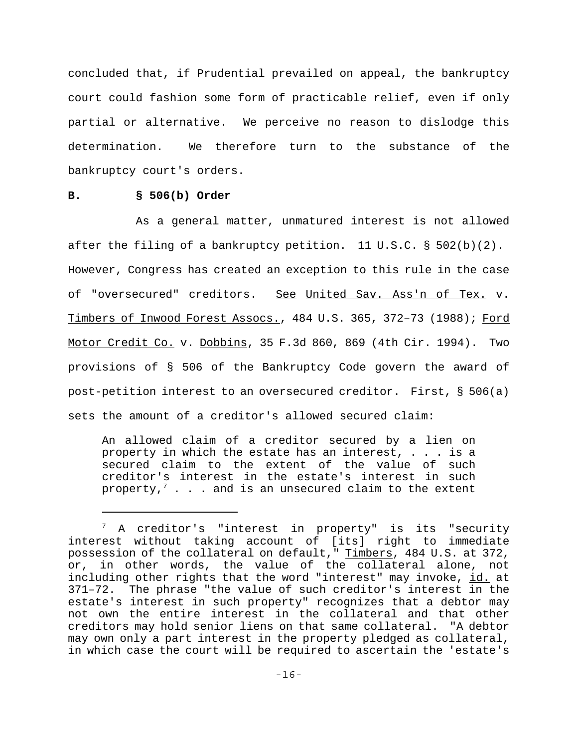concluded that, if Prudential prevailed on appeal, the bankruptcy court could fashion some form of practicable relief, even if only partial or alternative. We perceive no reason to dislodge this determination. We therefore turn to the substance of the bankruptcy court's orders.

## **B. § 506(b) Order**

As a general matter, unmatured interest is not allowed after the filing of a bankruptcy petition. 11 U.S.C.  $\S$  502(b)(2). However, Congress has created an exception to this rule in the case of "oversecured" creditors. See United Sav. Ass'n of Tex. v. Timbers of Inwood Forest Assocs., 484 U.S. 365, 372–73 (1988); Ford Motor Credit Co. v. Dobbins, 35 F.3d 860, 869 (4th Cir. 1994). Two provisions of § 506 of the Bankruptcy Code govern the award of post-petition interest to an oversecured creditor. First, § 506(a) sets the amount of a creditor's allowed secured claim:

An allowed claim of a creditor secured by a lien on property in which the estate has an interest, . . . is a secured claim to the extent of the value of such creditor's interest in the estate's interest in such property, $^7$  . . . and is an unsecured claim to the extent

<sup>7</sup> A creditor's "interest in property" is its "security interest without taking account of [its] right to immediate possession of the collateral on default," Timbers, 484 U.S. at 372, or, in other words, the value of the collateral alone, not including other rights that the word "interest" may invoke, id. at 371–72. The phrase "the value of such creditor's interest in the estate's interest in such property" recognizes that a debtor may not own the entire interest in the collateral and that other creditors may hold senior liens on that same collateral. "A debtor may own only a part interest in the property pledged as collateral, in which case the court will be required to ascertain the 'estate's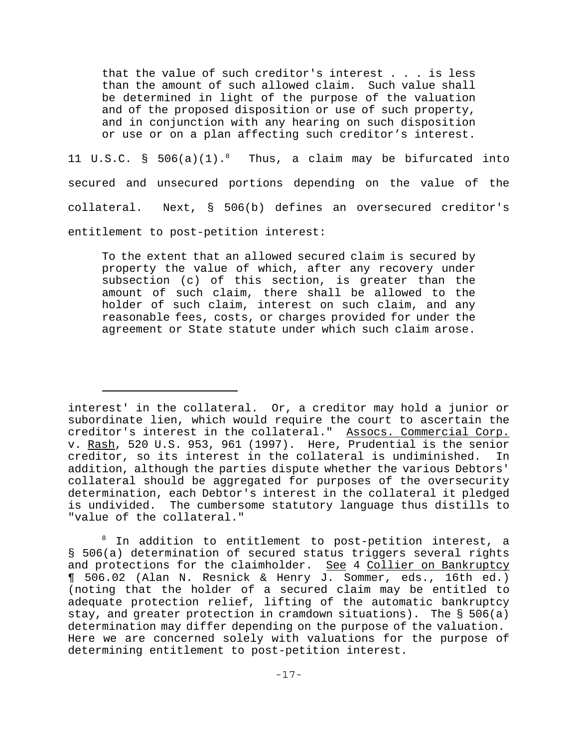that the value of such creditor's interest . . . is less than the amount of such allowed claim. Such value shall be determined in light of the purpose of the valuation and of the proposed disposition or use of such property, and in conjunction with any hearing on such disposition or use or on a plan affecting such creditor's interest.

11 U.S.C. § 506(a)(1).8 Thus, a claim may be bifurcated into secured and unsecured portions depending on the value of the collateral. Next, § 506(b) defines an oversecured creditor's entitlement to post-petition interest:

To the extent that an allowed secured claim is secured by property the value of which, after any recovery under subsection (c) of this section, is greater than the amount of such claim, there shall be allowed to the holder of such claim, interest on such claim, and any reasonable fees, costs, or charges provided for under the agreement or State statute under which such claim arose.

interest' in the collateral. Or, a creditor may hold a junior or subordinate lien, which would require the court to ascertain the creditor's interest in the collateral." Assocs. Commercial Corp. v. Rash, 520 U.S. 953, 961 (1997). Here, Prudential is the senior creditor, so its interest in the collateral is undiminished. In addition, although the parties dispute whether the various Debtors' collateral should be aggregated for purposes of the oversecurity determination, each Debtor's interest in the collateral it pledged is undivided. The cumbersome statutory language thus distills to "value of the collateral."

<sup>&</sup>lt;sup>8</sup> In addition to entitlement to post-petition interest, a § 506(a) determination of secured status triggers several rights and protections for the claimholder. See 4 Collier on Bankruptcy ¶ 506.02 (Alan N. Resnick & Henry J. Sommer, eds., 16th ed.) (noting that the holder of a secured claim may be entitled to adequate protection relief, lifting of the automatic bankruptcy stay, and greater protection in cramdown situations). The § 506(a) determination may differ depending on the purpose of the valuation. Here we are concerned solely with valuations for the purpose of determining entitlement to post-petition interest.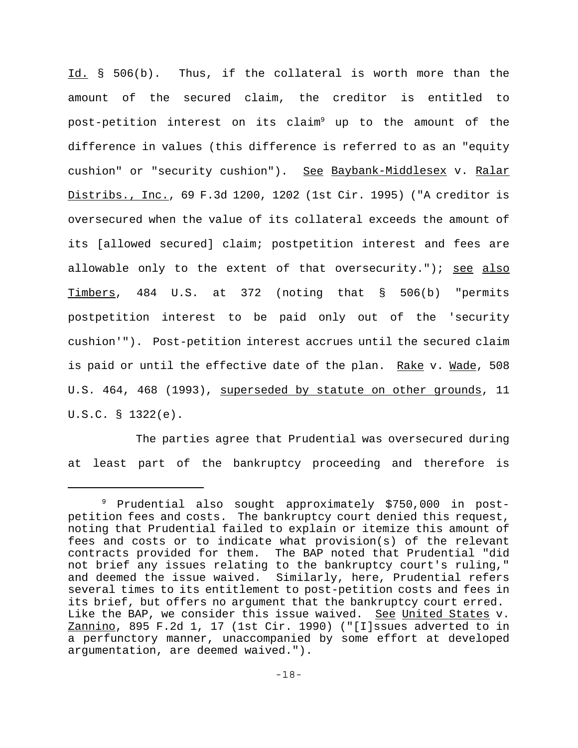Id. § 506(b). Thus, if the collateral is worth more than the amount of the secured claim, the creditor is entitled to post-petition interest on its claim<sup>9</sup> up to the amount of the difference in values (this difference is referred to as an "equity cushion" or "security cushion"). See Baybank-Middlesex v. Ralar Distribs., Inc., 69 F.3d 1200, 1202 (1st Cir. 1995) ("A creditor is oversecured when the value of its collateral exceeds the amount of its [allowed secured] claim; postpetition interest and fees are allowable only to the extent of that oversecurity."); see also Timbers, 484 U.S. at 372 (noting that § 506(b) "permits postpetition interest to be paid only out of the 'security cushion'"). Post-petition interest accrues until the secured claim is paid or until the effective date of the plan. Rake v. Made, 508 U.S. 464, 468 (1993), superseded by statute on other grounds, 11 U.S.C. § 1322(e).

The parties agree that Prudential was oversecured during at least part of the bankruptcy proceeding and therefore is

<sup>9</sup> Prudential also sought approximately \$750,000 in postpetition fees and costs. The bankruptcy court denied this request, noting that Prudential failed to explain or itemize this amount of fees and costs or to indicate what provision(s) of the relevant contracts provided for them. The BAP noted that Prudential "did not brief any issues relating to the bankruptcy court's ruling," and deemed the issue waived. Similarly, here, Prudential refers several times to its entitlement to post-petition costs and fees in its brief, but offers no argument that the bankruptcy court erred. Like the BAP, we consider this issue waived. See United States v. Zannino, 895 F.2d 1, 17 (1st Cir. 1990) ("[I]ssues adverted to in a perfunctory manner, unaccompanied by some effort at developed argumentation, are deemed waived.").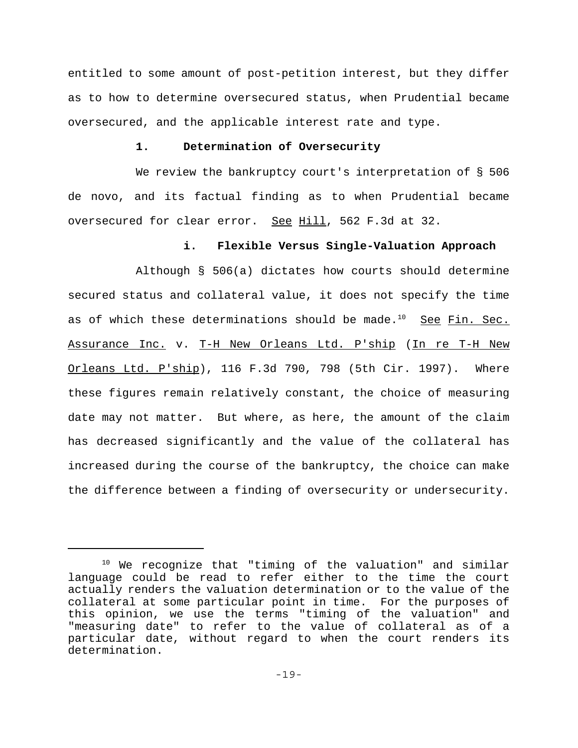entitled to some amount of post-petition interest, but they differ as to how to determine oversecured status, when Prudential became oversecured, and the applicable interest rate and type.

# **1. Determination of Oversecurity**

We review the bankruptcy court's interpretation of § 506 de novo, and its factual finding as to when Prudential became oversecured for clear error. See Hill, 562 F.3d at 32.

## **i. Flexible Versus Single-Valuation Approach**

Although § 506(a) dictates how courts should determine secured status and collateral value, it does not specify the time as of which these determinations should be made. $^{10}$  See Fin. Sec. Assurance Inc. v. T-H New Orleans Ltd. P'ship (In re T-H New Orleans Ltd. P'ship), 116 F.3d 790, 798 (5th Cir. 1997). Where these figures remain relatively constant, the choice of measuring date may not matter. But where, as here, the amount of the claim has decreased significantly and the value of the collateral has increased during the course of the bankruptcy, the choice can make the difference between a finding of oversecurity or undersecurity.

<sup>10</sup> We recognize that "timing of the valuation" and similar language could be read to refer either to the time the court actually renders the valuation determination or to the value of the collateral at some particular point in time. For the purposes of this opinion, we use the terms "timing of the valuation" and "measuring date" to refer to the value of collateral as of a particular date, without regard to when the court renders its determination.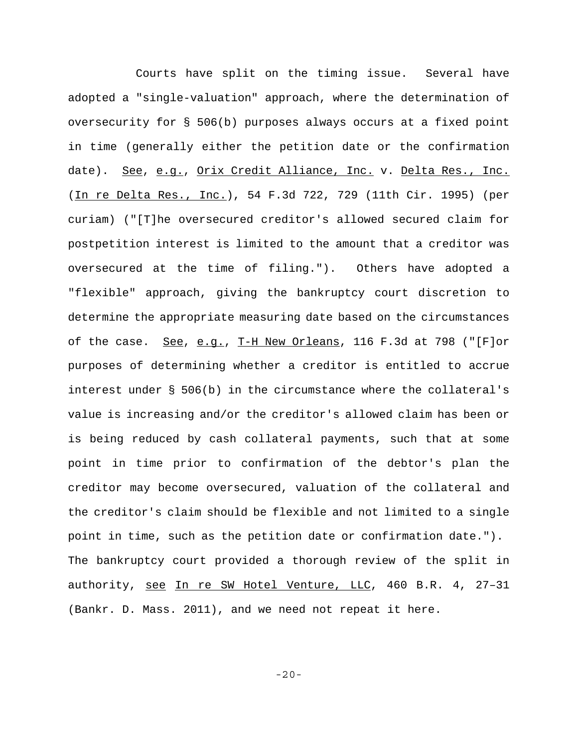Courts have split on the timing issue. Several have adopted a "single-valuation" approach, where the determination of oversecurity for § 506(b) purposes always occurs at a fixed point in time (generally either the petition date or the confirmation date). See, e.g., Orix Credit Alliance, Inc. v. Delta Res., Inc. (In re Delta Res., Inc.), 54 F.3d 722, 729 (11th Cir. 1995) (per curiam) ("[T]he oversecured creditor's allowed secured claim for postpetition interest is limited to the amount that a creditor was oversecured at the time of filing."). Others have adopted a "flexible" approach, giving the bankruptcy court discretion to determine the appropriate measuring date based on the circumstances of the case. See, e.g., T-H New Orleans, 116 F.3d at 798 ("[F]or purposes of determining whether a creditor is entitled to accrue interest under § 506(b) in the circumstance where the collateral's value is increasing and/or the creditor's allowed claim has been or is being reduced by cash collateral payments, such that at some point in time prior to confirmation of the debtor's plan the creditor may become oversecured, valuation of the collateral and the creditor's claim should be flexible and not limited to a single point in time, such as the petition date or confirmation date."). The bankruptcy court provided a thorough review of the split in authority, see In re SW Hotel Venture, LLC, 460 B.R. 4, 27–31 (Bankr. D. Mass. 2011), and we need not repeat it here.

-20-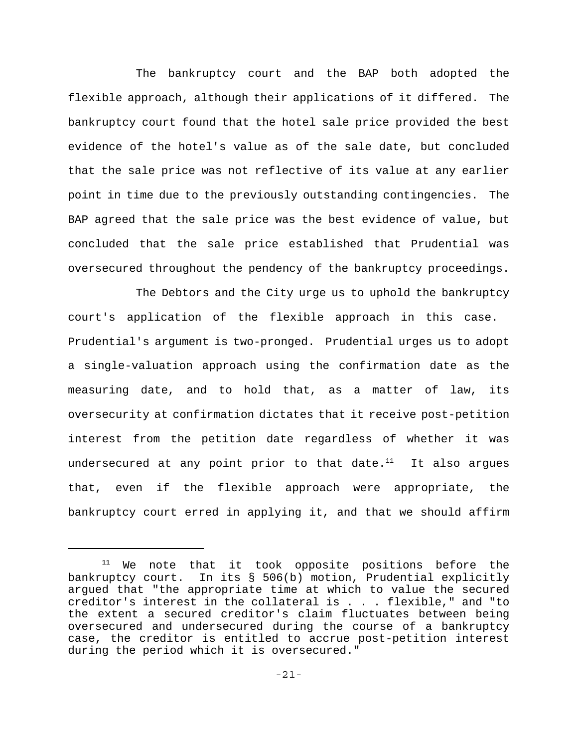The bankruptcy court and the BAP both adopted the flexible approach, although their applications of it differed. The bankruptcy court found that the hotel sale price provided the best evidence of the hotel's value as of the sale date, but concluded that the sale price was not reflective of its value at any earlier point in time due to the previously outstanding contingencies. The BAP agreed that the sale price was the best evidence of value, but concluded that the sale price established that Prudential was oversecured throughout the pendency of the bankruptcy proceedings.

The Debtors and the City urge us to uphold the bankruptcy court's application of the flexible approach in this case. Prudential's argument is two-pronged. Prudential urges us to adopt a single-valuation approach using the confirmation date as the measuring date, and to hold that, as a matter of law, its oversecurity at confirmation dictates that it receive post-petition interest from the petition date regardless of whether it was undersecured at any point prior to that date. $11$  It also argues that, even if the flexible approach were appropriate, the bankruptcy court erred in applying it, and that we should affirm

<sup>&</sup>lt;sup>11</sup> We note that it took opposite positions before the bankruptcy court. In its § 506(b) motion, Prudential explicitly argued that "the appropriate time at which to value the secured creditor's interest in the collateral is . . . flexible," and "to the extent a secured creditor's claim fluctuates between being oversecured and undersecured during the course of a bankruptcy case, the creditor is entitled to accrue post-petition interest during the period which it is oversecured."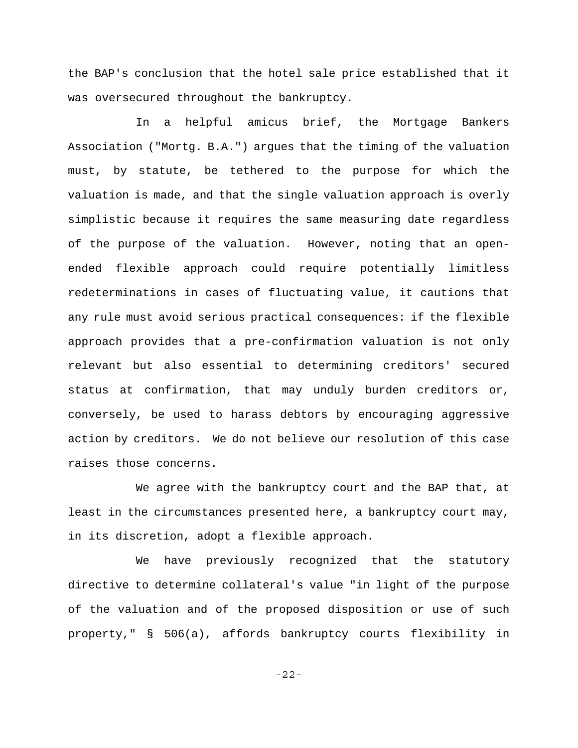the BAP's conclusion that the hotel sale price established that it was oversecured throughout the bankruptcy.

In a helpful amicus brief, the Mortgage Bankers Association ("Mortg. B.A.") argues that the timing of the valuation must, by statute, be tethered to the purpose for which the valuation is made, and that the single valuation approach is overly simplistic because it requires the same measuring date regardless of the purpose of the valuation. However, noting that an openended flexible approach could require potentially limitless redeterminations in cases of fluctuating value, it cautions that any rule must avoid serious practical consequences: if the flexible approach provides that a pre-confirmation valuation is not only relevant but also essential to determining creditors' secured status at confirmation, that may unduly burden creditors or, conversely, be used to harass debtors by encouraging aggressive action by creditors. We do not believe our resolution of this case raises those concerns.

We agree with the bankruptcy court and the BAP that, at least in the circumstances presented here, a bankruptcy court may, in its discretion, adopt a flexible approach.

We have previously recognized that the statutory directive to determine collateral's value "in light of the purpose of the valuation and of the proposed disposition or use of such property," § 506(a), affords bankruptcy courts flexibility in

-22-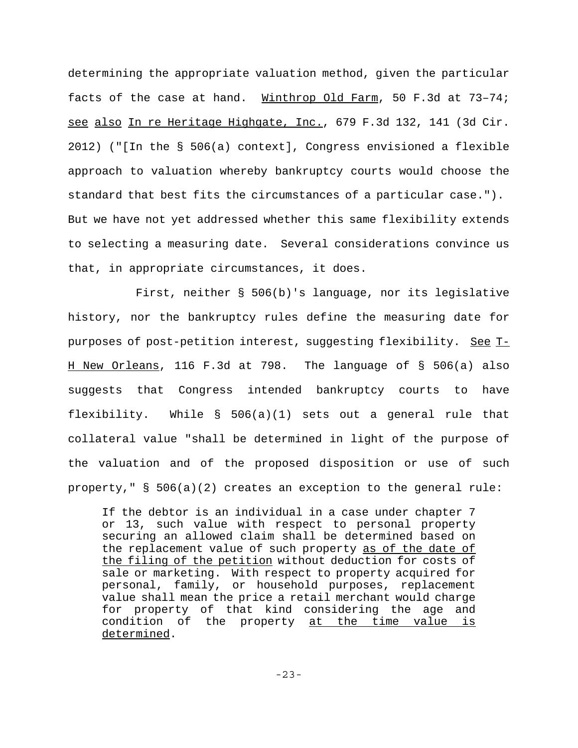determining the appropriate valuation method, given the particular facts of the case at hand. Winthrop Old Farm, 50 F.3d at 73–74; see also In re Heritage Highgate, Inc., 679 F.3d 132, 141 (3d Cir. 2012) ("[In the § 506(a) context], Congress envisioned a flexible approach to valuation whereby bankruptcy courts would choose the standard that best fits the circumstances of a particular case."). But we have not yet addressed whether this same flexibility extends to selecting a measuring date. Several considerations convince us that, in appropriate circumstances, it does.

First, neither § 506(b)'s language, nor its legislative history, nor the bankruptcy rules define the measuring date for purposes of post-petition interest, suggesting flexibility. See T-H New Orleans, 116 F.3d at 798. The language of § 506(a) also suggests that Congress intended bankruptcy courts to have flexibility. While  $\S$  506(a)(1) sets out a general rule that collateral value "shall be determined in light of the purpose of the valuation and of the proposed disposition or use of such property," § 506(a)(2) creates an exception to the general rule:

If the debtor is an individual in a case under chapter 7 or 13, such value with respect to personal property securing an allowed claim shall be determined based on the replacement value of such property as of the date of the filing of the petition without deduction for costs of sale or marketing. With respect to property acquired for personal, family, or household purposes, replacement value shall mean the price a retail merchant would charge for property of that kind considering the age and condition of the property at the time value is determined.

-23-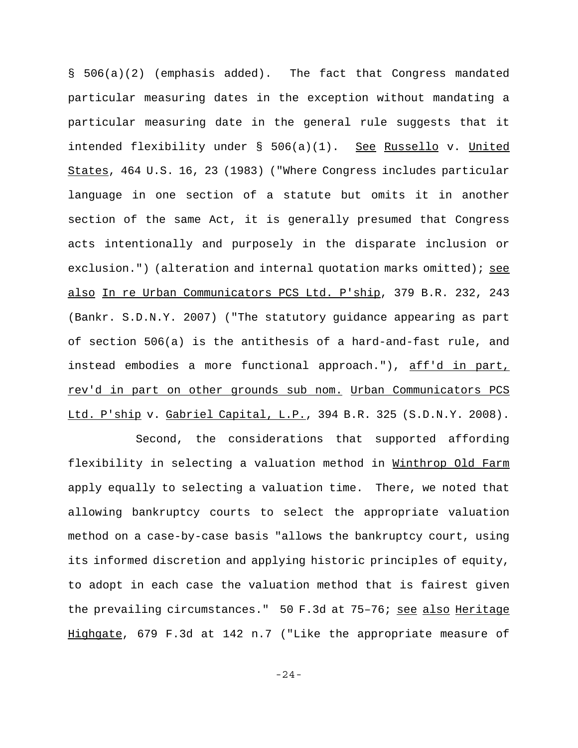§ 506(a)(2) (emphasis added). The fact that Congress mandated particular measuring dates in the exception without mandating a particular measuring date in the general rule suggests that it intended flexibility under § 506(a)(1). See Russello v. United States, 464 U.S. 16, 23 (1983) ("Where Congress includes particular language in one section of a statute but omits it in another section of the same Act, it is generally presumed that Congress acts intentionally and purposely in the disparate inclusion or exclusion.") (alteration and internal quotation marks omitted); see also In re Urban Communicators PCS Ltd. P'ship, 379 B.R. 232, 243 (Bankr. S.D.N.Y. 2007) ("The statutory guidance appearing as part of section 506(a) is the antithesis of a hard-and-fast rule, and instead embodies a more functional approach."), aff'd in part, rev'd in part on other grounds sub nom. Urban Communicators PCS Ltd. P'ship v. Gabriel Capital, L.P., 394 B.R. 325 (S.D.N.Y. 2008).

Second, the considerations that supported affording flexibility in selecting a valuation method in Winthrop Old Farm apply equally to selecting a valuation time. There, we noted that allowing bankruptcy courts to select the appropriate valuation method on a case-by-case basis "allows the bankruptcy court, using its informed discretion and applying historic principles of equity, to adopt in each case the valuation method that is fairest given the prevailing circumstances." 50 F.3d at 75-76; see also Heritage Highgate, 679 F.3d at 142 n.7 ("Like the appropriate measure of

-24-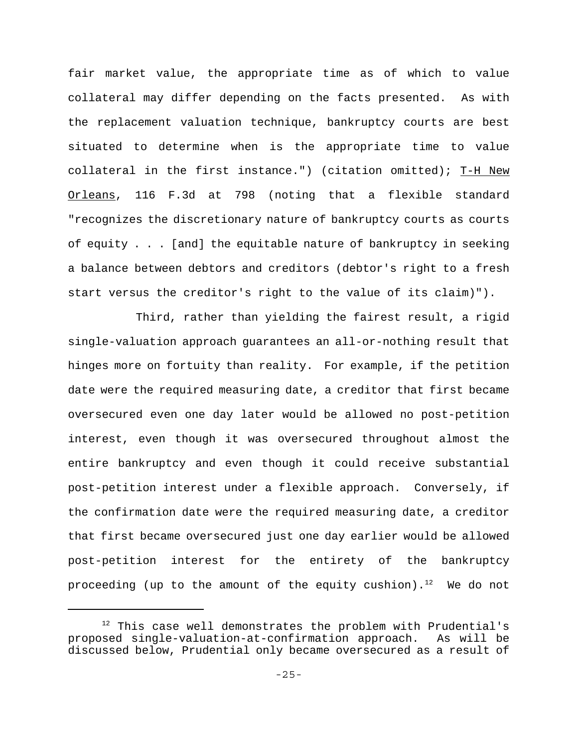fair market value, the appropriate time as of which to value collateral may differ depending on the facts presented. As with the replacement valuation technique, bankruptcy courts are best situated to determine when is the appropriate time to value collateral in the first instance.") (citation omitted); T-H New Orleans, 116 F.3d at 798 (noting that a flexible standard "recognizes the discretionary nature of bankruptcy courts as courts of equity . . . [and] the equitable nature of bankruptcy in seeking a balance between debtors and creditors (debtor's right to a fresh start versus the creditor's right to the value of its claim)").

Third, rather than yielding the fairest result, a rigid single-valuation approach guarantees an all-or-nothing result that hinges more on fortuity than reality. For example, if the petition date were the required measuring date, a creditor that first became oversecured even one day later would be allowed no post-petition interest, even though it was oversecured throughout almost the entire bankruptcy and even though it could receive substantial post-petition interest under a flexible approach. Conversely, if the confirmation date were the required measuring date, a creditor that first became oversecured just one day earlier would be allowed post-petition interest for the entirety of the bankruptcy proceeding (up to the amount of the equity cushion).<sup>12</sup> We do not

<sup>&</sup>lt;sup>12</sup> This case well demonstrates the problem with Prudential's proposed single-valuation-at-confirmation approach. As will be discussed below, Prudential only became oversecured as a result of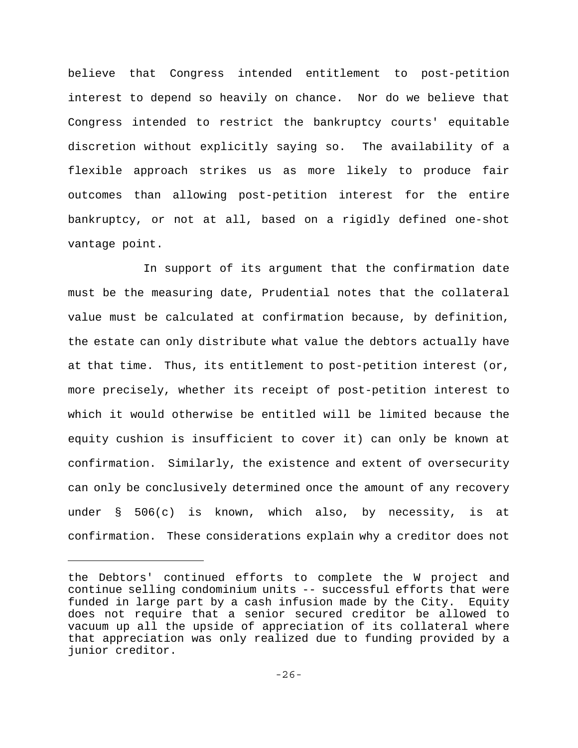believe that Congress intended entitlement to post-petition interest to depend so heavily on chance. Nor do we believe that Congress intended to restrict the bankruptcy courts' equitable discretion without explicitly saying so. The availability of a flexible approach strikes us as more likely to produce fair outcomes than allowing post-petition interest for the entire bankruptcy, or not at all, based on a rigidly defined one-shot vantage point.

 In support of its argument that the confirmation date must be the measuring date, Prudential notes that the collateral value must be calculated at confirmation because, by definition, the estate can only distribute what value the debtors actually have at that time. Thus, its entitlement to post-petition interest (or, more precisely, whether its receipt of post-petition interest to which it would otherwise be entitled will be limited because the equity cushion is insufficient to cover it) can only be known at confirmation. Similarly, the existence and extent of oversecurity can only be conclusively determined once the amount of any recovery under § 506(c) is known, which also, by necessity, is at confirmation. These considerations explain why a creditor does not

the Debtors' continued efforts to complete the W project and continue selling condominium units -- successful efforts that were funded in large part by a cash infusion made by the City. Equity does not require that a senior secured creditor be allowed to vacuum up all the upside of appreciation of its collateral where that appreciation was only realized due to funding provided by a junior creditor.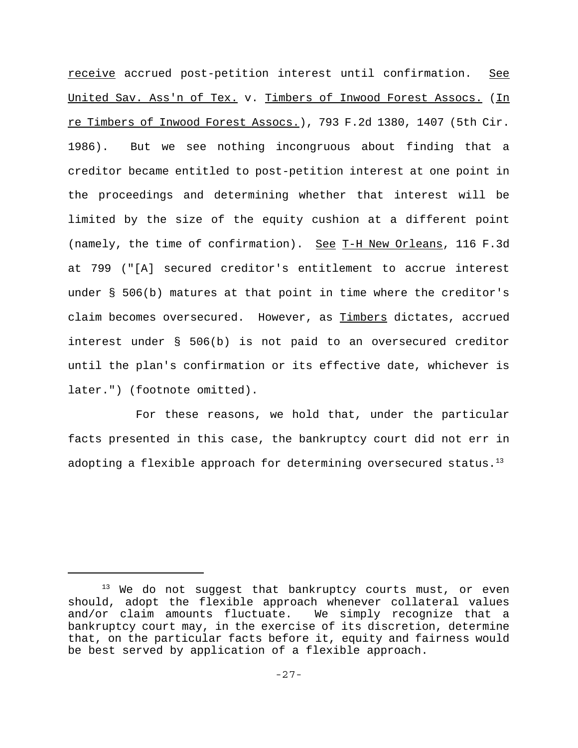receive accrued post-petition interest until confirmation. See United Sav. Ass'n of Tex. v. Timbers of Inwood Forest Assocs. (In re Timbers of Inwood Forest Assocs.), 793 F.2d 1380, 1407 (5th Cir. 1986). But we see nothing incongruous about finding that a creditor became entitled to post-petition interest at one point in the proceedings and determining whether that interest will be limited by the size of the equity cushion at a different point (namely, the time of confirmation). See T-H New Orleans, 116 F.3d at 799 ("[A] secured creditor's entitlement to accrue interest under § 506(b) matures at that point in time where the creditor's claim becomes oversecured. However, as Timbers dictates, accrued interest under § 506(b) is not paid to an oversecured creditor until the plan's confirmation or its effective date, whichever is later.") (footnote omitted).

For these reasons, we hold that, under the particular facts presented in this case, the bankruptcy court did not err in adopting a flexible approach for determining oversecured status.<sup>13</sup>

<sup>&</sup>lt;sup>13</sup> We do not suggest that bankruptcy courts must, or even should, adopt the flexible approach whenever collateral values and/or claim amounts fluctuate. We simply recognize that a bankruptcy court may, in the exercise of its discretion, determine that, on the particular facts before it, equity and fairness would be best served by application of a flexible approach.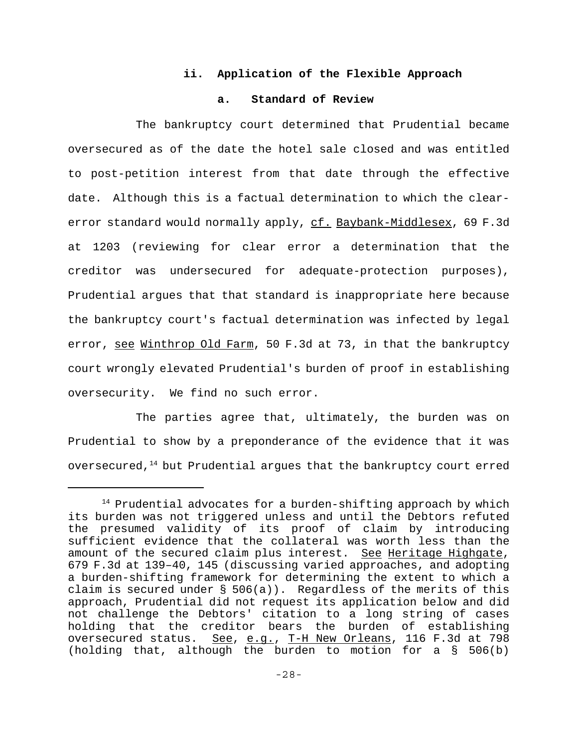# **ii. Application of the Flexible Approach**

# **a. Standard of Review**

The bankruptcy court determined that Prudential became oversecured as of the date the hotel sale closed and was entitled to post-petition interest from that date through the effective date. Although this is a factual determination to which the clearerror standard would normally apply, cf. Baybank-Middlesex, 69 F.3d at 1203 (reviewing for clear error a determination that the creditor was undersecured for adequate-protection purposes), Prudential argues that that standard is inappropriate here because the bankruptcy court's factual determination was infected by legal error, see Winthrop Old Farm, 50 F.3d at 73, in that the bankruptcy court wrongly elevated Prudential's burden of proof in establishing oversecurity. We find no such error.

The parties agree that, ultimately, the burden was on Prudential to show by a preponderance of the evidence that it was oversecured, $14$  but Prudential argues that the bankruptcy court erred

 $14$  Prudential advocates for a burden-shifting approach by which its burden was not triggered unless and until the Debtors refuted the presumed validity of its proof of claim by introducing sufficient evidence that the collateral was worth less than the amount of the secured claim plus interest. See Heritage Highgate, 679 F.3d at 139–40, 145 (discussing varied approaches, and adopting a burden-shifting framework for determining the extent to which a claim is secured under  $\S$  506(a)). Regardless of the merits of this approach, Prudential did not request its application below and did not challenge the Debtors' citation to a long string of cases holding that the creditor bears the burden of establishing oversecured status. See, e.g., T-H New Orleans, 116 F.3d at 798 (holding that, although the burden to motion for a § 506(b)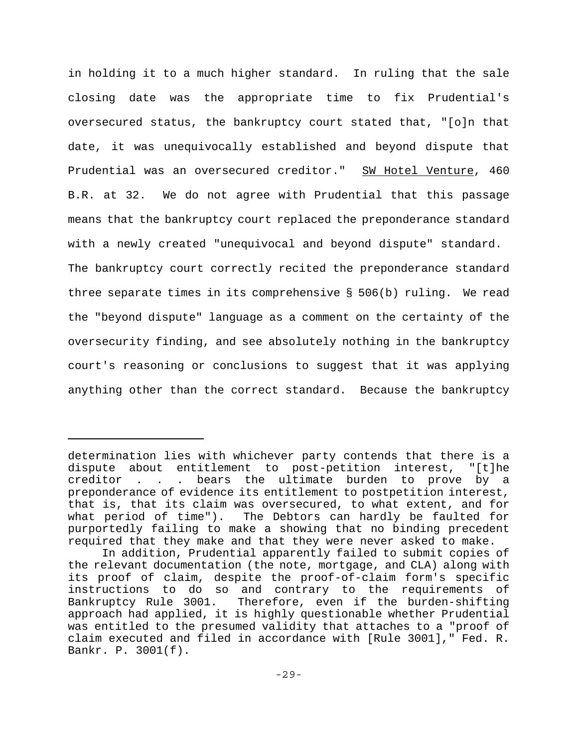in holding it to a much higher standard. In ruling that the sale closing date was the appropriate time to fix Prudential's oversecured status, the bankruptcy court stated that, "[o]n that date, it was unequivocally established and beyond dispute that Prudential was an oversecured creditor." SW Hotel Venture, 460 B.R. at 32. We do not agree with Prudential that this passage means that the bankruptcy court replaced the preponderance standard with a newly created "unequivocal and beyond dispute" standard. The bankruptcy court correctly recited the preponderance standard three separate times in its comprehensive § 506(b) ruling. We read the "beyond dispute" language as a comment on the certainty of the oversecurity finding, and see absolutely nothing in the bankruptcy court's reasoning or conclusions to suggest that it was applying anything other than the correct standard. Because the bankruptcy

determination lies with whichever party contends that there is a dispute about entitlement to post-petition interest, "[t]he creditor . . . bears the ultimate burden to prove by a preponderance of evidence its entitlement to postpetition interest, that is, that its claim was oversecured, to what extent, and for what period of time"). The Debtors can hardly be faulted for purportedly failing to make a showing that no binding precedent required that they make and that they were never asked to make.

In addition, Prudential apparently failed to submit copies of the relevant documentation (the note, mortgage, and CLA) along with its proof of claim, despite the proof-of-claim form's specific instructions to do so and contrary to the requirements of Bankruptcy Rule 3001. Therefore, even if the burden-shifting approach had applied, it is highly questionable whether Prudential was entitled to the presumed validity that attaches to a "proof of claim executed and filed in accordance with [Rule 3001]," Fed. R. Bankr. P. 3001(f).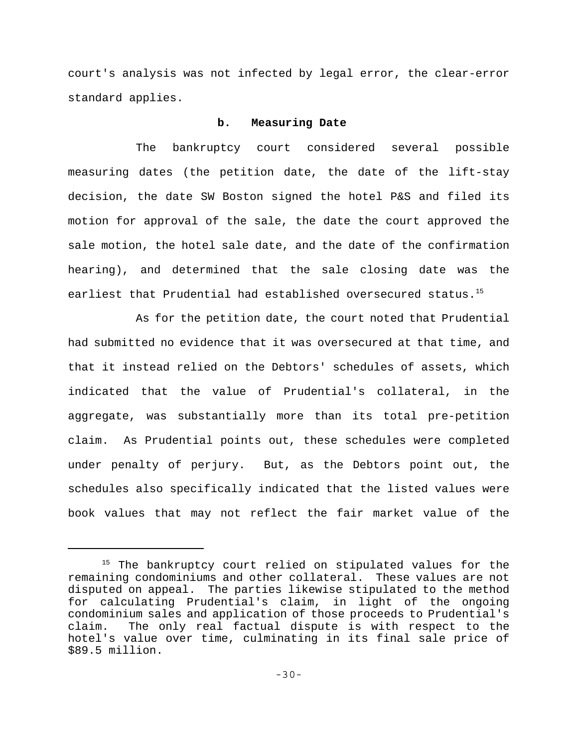court's analysis was not infected by legal error, the clear-error standard applies.

## **b. Measuring Date**

The bankruptcy court considered several possible measuring dates (the petition date, the date of the lift-stay decision, the date SW Boston signed the hotel P&S and filed its motion for approval of the sale, the date the court approved the sale motion, the hotel sale date, and the date of the confirmation hearing), and determined that the sale closing date was the earliest that Prudential had established oversecured status.<sup>15</sup>

As for the petition date, the court noted that Prudential had submitted no evidence that it was oversecured at that time, and that it instead relied on the Debtors' schedules of assets, which indicated that the value of Prudential's collateral, in the aggregate, was substantially more than its total pre-petition claim. As Prudential points out, these schedules were completed under penalty of perjury. But, as the Debtors point out, the schedules also specifically indicated that the listed values were book values that may not reflect the fair market value of the

<sup>&</sup>lt;sup>15</sup> The bankruptcy court relied on stipulated values for the remaining condominiums and other collateral. These values are not disputed on appeal. The parties likewise stipulated to the method for calculating Prudential's claim, in light of the ongoing condominium sales and application of those proceeds to Prudential's claim. The only real factual dispute is with respect to the hotel's value over time, culminating in its final sale price of \$89.5 million.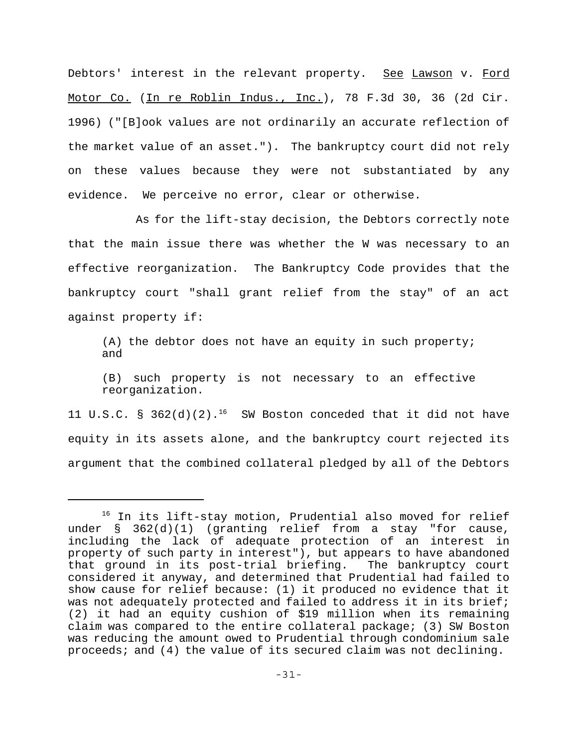Debtors' interest in the relevant property. See Lawson v. Ford Motor Co. (In re Roblin Indus., Inc.), 78 F.3d 30, 36 (2d Cir. 1996) ("[B]ook values are not ordinarily an accurate reflection of the market value of an asset."). The bankruptcy court did not rely on these values because they were not substantiated by any evidence. We perceive no error, clear or otherwise.

As for the lift-stay decision, the Debtors correctly note that the main issue there was whether the W was necessary to an effective reorganization. The Bankruptcy Code provides that the bankruptcy court "shall grant relief from the stay" of an act against property if:

(A) the debtor does not have an equity in such property; and

(B) such property is not necessary to an effective reorganization.

11 U.S.C. § 362(d)(2).<sup>16</sup> SW Boston conceded that it did not have equity in its assets alone, and the bankruptcy court rejected its argument that the combined collateral pledged by all of the Debtors

<sup>&</sup>lt;sup>16</sup> In its lift-stay motion, Prudential also moved for relief under § 362(d)(1) (granting relief from a stay "for cause, including the lack of adequate protection of an interest in property of such party in interest"), but appears to have abandoned that ground in its post-trial briefing. The bankruptcy court considered it anyway, and determined that Prudential had failed to show cause for relief because: (1) it produced no evidence that it was not adequately protected and failed to address it in its brief; (2) it had an equity cushion of \$19 million when its remaining claim was compared to the entire collateral package; (3) SW Boston was reducing the amount owed to Prudential through condominium sale proceeds; and (4) the value of its secured claim was not declining.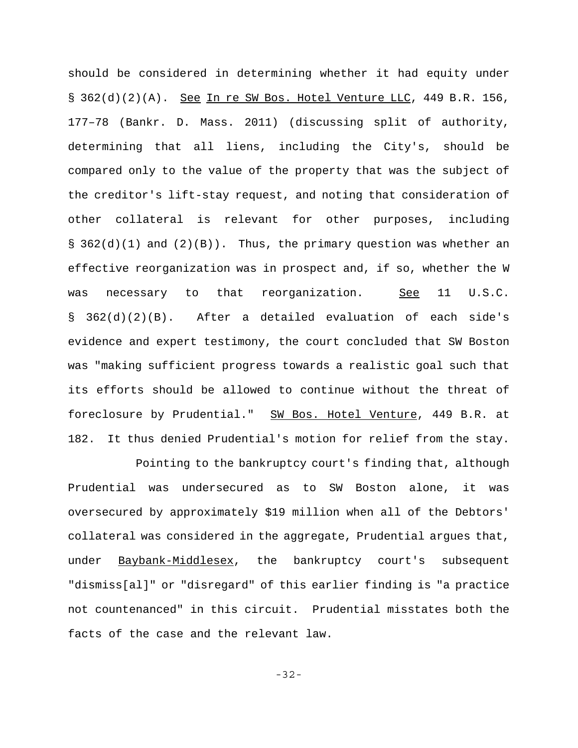should be considered in determining whether it had equity under § 362(d)(2)(A). See In re SW Bos. Hotel Venture LLC, 449 B.R. 156, 177–78 (Bankr. D. Mass. 2011) (discussing split of authority, determining that all liens, including the City's, should be compared only to the value of the property that was the subject of the creditor's lift-stay request, and noting that consideration of other collateral is relevant for other purposes, including § 362(d)(1) and (2)(B)). Thus, the primary question was whether an effective reorganization was in prospect and, if so, whether the W was necessary to that reorganization. See 11 U.S.C. § 362(d)(2)(B). After a detailed evaluation of each side's evidence and expert testimony, the court concluded that SW Boston was "making sufficient progress towards a realistic goal such that its efforts should be allowed to continue without the threat of foreclosure by Prudential." SW Bos. Hotel Venture, 449 B.R. at 182. It thus denied Prudential's motion for relief from the stay.

Pointing to the bankruptcy court's finding that, although Prudential was undersecured as to SW Boston alone, it was oversecured by approximately \$19 million when all of the Debtors' collateral was considered in the aggregate, Prudential argues that, under Baybank-Middlesex, the bankruptcy court's subsequent "dismiss[al]" or "disregard" of this earlier finding is "a practice not countenanced" in this circuit. Prudential misstates both the facts of the case and the relevant law.

-32-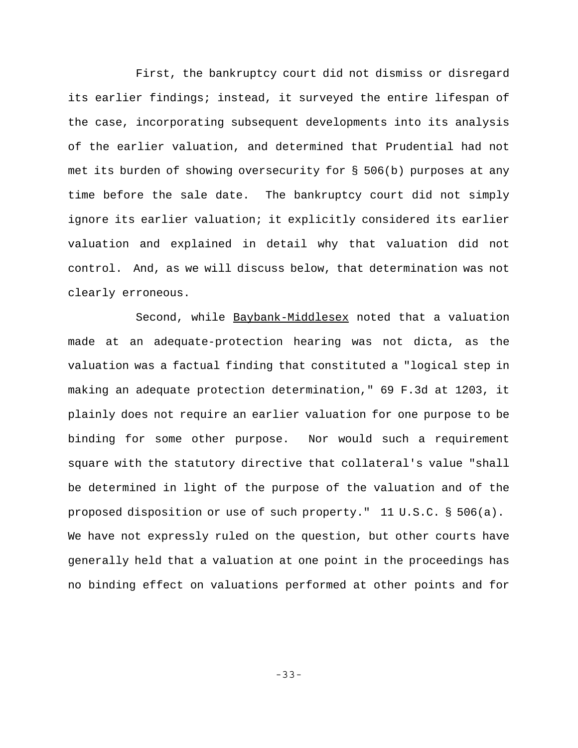First, the bankruptcy court did not dismiss or disregard its earlier findings; instead, it surveyed the entire lifespan of the case, incorporating subsequent developments into its analysis of the earlier valuation, and determined that Prudential had not met its burden of showing oversecurity for § 506(b) purposes at any time before the sale date. The bankruptcy court did not simply ignore its earlier valuation; it explicitly considered its earlier valuation and explained in detail why that valuation did not control. And, as we will discuss below, that determination was not clearly erroneous.

Second, while Baybank-Middlesex noted that a valuation made at an adequate-protection hearing was not dicta, as the valuation was a factual finding that constituted a "logical step in making an adequate protection determination," 69 F.3d at 1203, it plainly does not require an earlier valuation for one purpose to be binding for some other purpose. Nor would such a requirement square with the statutory directive that collateral's value "shall be determined in light of the purpose of the valuation and of the proposed disposition or use of such property." 11 U.S.C. § 506(a). We have not expressly ruled on the question, but other courts have generally held that a valuation at one point in the proceedings has no binding effect on valuations performed at other points and for

-33-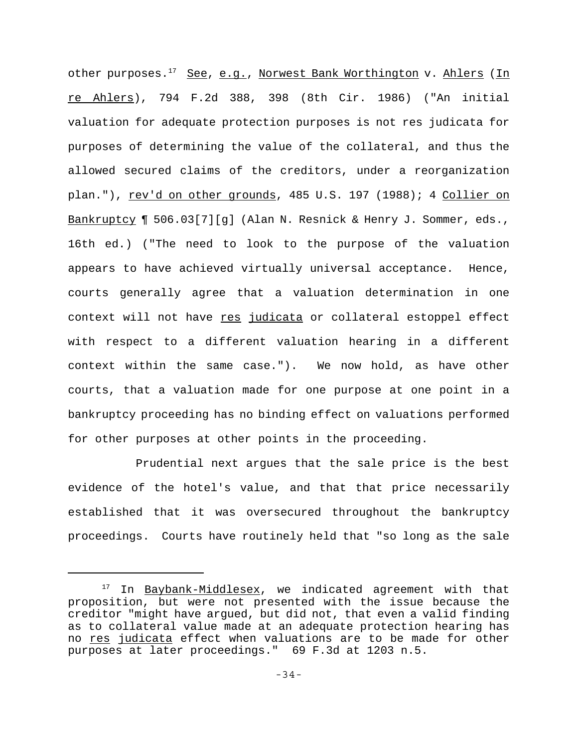other purposes.<sup>17</sup> See, e.g., Norwest Bank Worthington v. Ahlers (In re Ahlers), 794 F.2d 388, 398 (8th Cir. 1986) ("An initial valuation for adequate protection purposes is not res judicata for purposes of determining the value of the collateral, and thus the allowed secured claims of the creditors, under a reorganization plan."), rev'd on other grounds, 485 U.S. 197 (1988); 4 Collier on Bankruptcy ¶ 506.03[7][g] (Alan N. Resnick & Henry J. Sommer, eds., 16th ed.) ("The need to look to the purpose of the valuation appears to have achieved virtually universal acceptance. Hence, courts generally agree that a valuation determination in one context will not have res judicata or collateral estoppel effect with respect to a different valuation hearing in a different context within the same case."). We now hold, as have other courts, that a valuation made for one purpose at one point in a bankruptcy proceeding has no binding effect on valuations performed for other purposes at other points in the proceeding.

Prudential next argues that the sale price is the best evidence of the hotel's value, and that that price necessarily established that it was oversecured throughout the bankruptcy proceedings. Courts have routinely held that "so long as the sale

<sup>&</sup>lt;sup>17</sup> In Baybank-Middlesex, we indicated agreement with that proposition, but were not presented with the issue because the creditor "might have argued, but did not, that even a valid finding as to collateral value made at an adequate protection hearing has no res judicata effect when valuations are to be made for other purposes at later proceedings." 69 F.3d at 1203 n.5.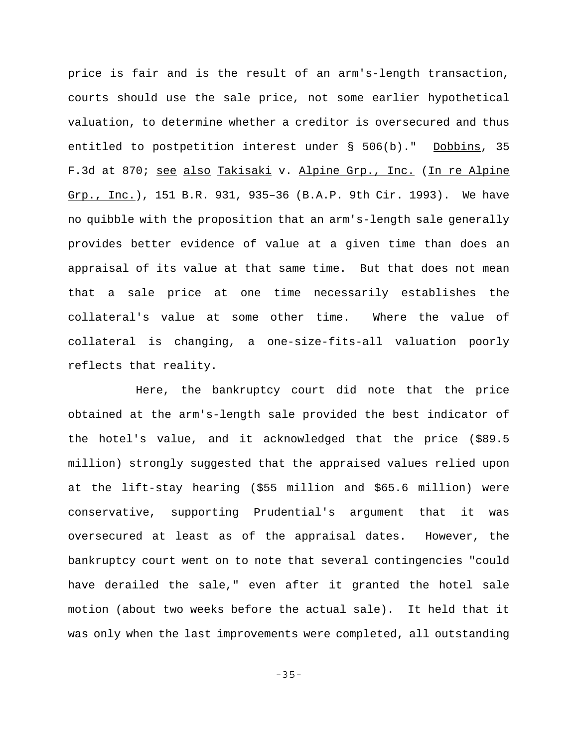price is fair and is the result of an arm's-length transaction, courts should use the sale price, not some earlier hypothetical valuation, to determine whether a creditor is oversecured and thus entitled to postpetition interest under § 506(b)." Dobbins, 35 F.3d at 870; see also Takisaki v. Alpine Grp., Inc. (In re Alpine Grp., Inc.), 151 B.R. 931, 935-36 (B.A.P. 9th Cir. 1993). We have no quibble with the proposition that an arm's-length sale generally provides better evidence of value at a given time than does an appraisal of its value at that same time. But that does not mean that a sale price at one time necessarily establishes the collateral's value at some other time. Where the value of collateral is changing, a one-size-fits-all valuation poorly reflects that reality.

Here, the bankruptcy court did note that the price obtained at the arm's-length sale provided the best indicator of the hotel's value, and it acknowledged that the price (\$89.5 million) strongly suggested that the appraised values relied upon at the lift-stay hearing (\$55 million and \$65.6 million) were conservative, supporting Prudential's argument that it was oversecured at least as of the appraisal dates. However, the bankruptcy court went on to note that several contingencies "could have derailed the sale," even after it granted the hotel sale motion (about two weeks before the actual sale). It held that it was only when the last improvements were completed, all outstanding

-35-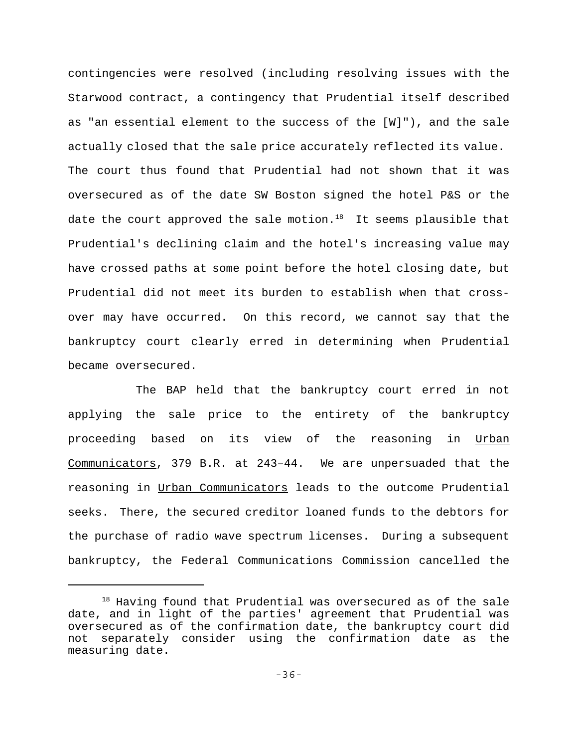contingencies were resolved (including resolving issues with the Starwood contract, a contingency that Prudential itself described as "an essential element to the success of the [W]"), and the sale actually closed that the sale price accurately reflected its value. The court thus found that Prudential had not shown that it was oversecured as of the date SW Boston signed the hotel P&S or the date the court approved the sale motion.<sup>18</sup> It seems plausible that Prudential's declining claim and the hotel's increasing value may have crossed paths at some point before the hotel closing date, but Prudential did not meet its burden to establish when that crossover may have occurred. On this record, we cannot say that the bankruptcy court clearly erred in determining when Prudential became oversecured.

The BAP held that the bankruptcy court erred in not applying the sale price to the entirety of the bankruptcy proceeding based on its view of the reasoning in Urban Communicators, 379 B.R. at 243–44. We are unpersuaded that the reasoning in Urban Communicators leads to the outcome Prudential seeks. There, the secured creditor loaned funds to the debtors for the purchase of radio wave spectrum licenses. During a subsequent bankruptcy, the Federal Communications Commission cancelled the

<sup>&</sup>lt;sup>18</sup> Having found that Prudential was oversecured as of the sale date, and in light of the parties' agreement that Prudential was oversecured as of the confirmation date, the bankruptcy court did not separately consider using the confirmation date as the measuring date.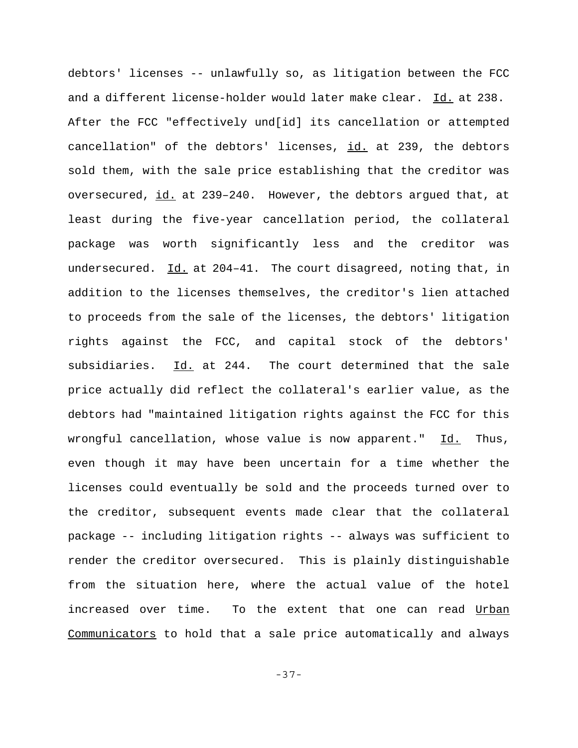debtors' licenses -- unlawfully so, as litigation between the FCC and a different license-holder would later make clear. Id. at 238. After the FCC "effectively und[id] its cancellation or attempted cancellation" of the debtors' licenses, id. at 239, the debtors sold them, with the sale price establishing that the creditor was oversecured, id. at 239–240. However, the debtors argued that, at least during the five-year cancellation period, the collateral package was worth significantly less and the creditor was undersecured. Id. at 204-41. The court disagreed, noting that, in addition to the licenses themselves, the creditor's lien attached to proceeds from the sale of the licenses, the debtors' litigation rights against the FCC, and capital stock of the debtors' subsidiaries. Id. at 244. The court determined that the sale price actually did reflect the collateral's earlier value, as the debtors had "maintained litigation rights against the FCC for this wrongful cancellation, whose value is now apparent." Id. Thus, even though it may have been uncertain for a time whether the licenses could eventually be sold and the proceeds turned over to the creditor, subsequent events made clear that the collateral package -- including litigation rights -- always was sufficient to render the creditor oversecured. This is plainly distinguishable from the situation here, where the actual value of the hotel increased over time. To the extent that one can read Urban Communicators to hold that a sale price automatically and always

-37-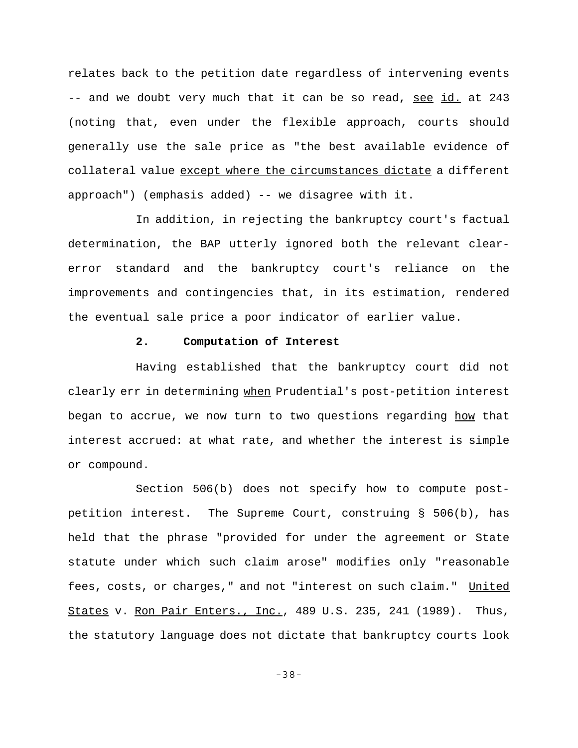relates back to the petition date regardless of intervening events -- and we doubt very much that it can be so read, see id. at 243 (noting that, even under the flexible approach, courts should generally use the sale price as "the best available evidence of collateral value except where the circumstances dictate a different approach") (emphasis added) -- we disagree with it.

In addition, in rejecting the bankruptcy court's factual determination, the BAP utterly ignored both the relevant clearerror standard and the bankruptcy court's reliance on the improvements and contingencies that, in its estimation, rendered the eventual sale price a poor indicator of earlier value.

# **2. Computation of Interest**

Having established that the bankruptcy court did not clearly err in determining when Prudential's post-petition interest began to accrue, we now turn to two questions regarding how that interest accrued: at what rate, and whether the interest is simple or compound.

Section 506(b) does not specify how to compute postpetition interest. The Supreme Court, construing § 506(b), has held that the phrase "provided for under the agreement or State statute under which such claim arose" modifies only "reasonable fees, costs, or charges," and not "interest on such claim." United States v. Ron Pair Enters., Inc., 489 U.S. 235, 241 (1989). Thus, the statutory language does not dictate that bankruptcy courts look

-38-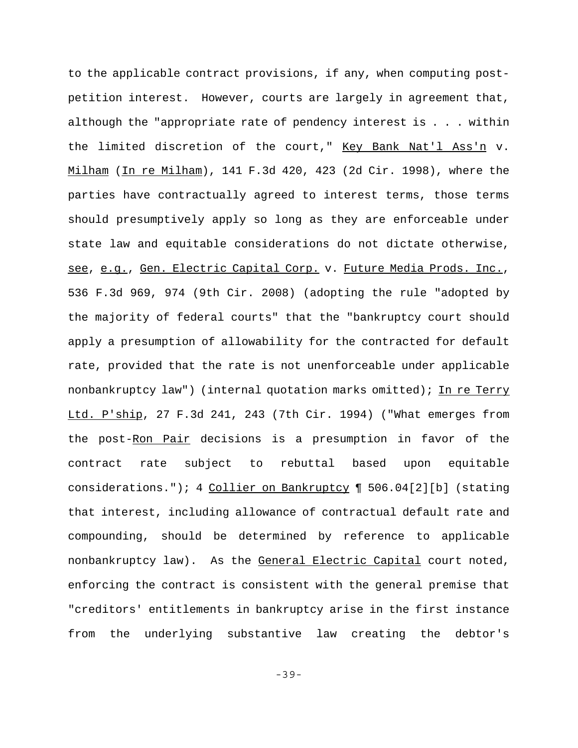to the applicable contract provisions, if any, when computing postpetition interest. However, courts are largely in agreement that, although the "appropriate rate of pendency interest is . . . within the limited discretion of the court," Key Bank Nat'l Ass'n v. Milham (In re Milham), 141 F.3d 420, 423 (2d Cir. 1998), where the parties have contractually agreed to interest terms, those terms should presumptively apply so long as they are enforceable under state law and equitable considerations do not dictate otherwise, see, e.g., Gen. Electric Capital Corp. v. Future Media Prods. Inc., 536 F.3d 969, 974 (9th Cir. 2008) (adopting the rule "adopted by the majority of federal courts" that the "bankruptcy court should apply a presumption of allowability for the contracted for default rate, provided that the rate is not unenforceable under applicable nonbankruptcy law") (internal quotation marks omitted); In re Terry Ltd. P'ship, 27 F.3d 241, 243 (7th Cir. 1994) ("What emerges from the post-Ron Pair decisions is a presumption in favor of the contract rate subject to rebuttal based upon equitable considerations."); 4 Collier on Bankruptcy 1 506.04[2][b] (stating that interest, including allowance of contractual default rate and compounding, should be determined by reference to applicable nonbankruptcy law). As the General Electric Capital court noted, enforcing the contract is consistent with the general premise that "creditors' entitlements in bankruptcy arise in the first instance from the underlying substantive law creating the debtor's

-39-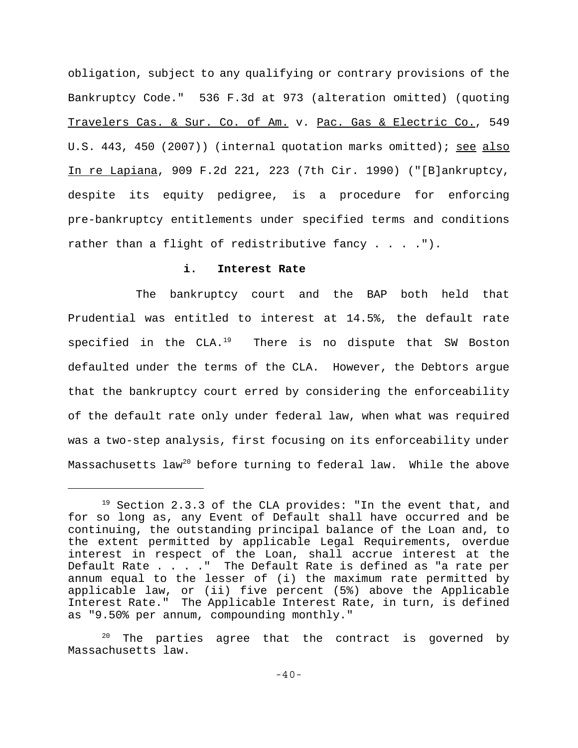obligation, subject to any qualifying or contrary provisions of the Bankruptcy Code." 536 F.3d at 973 (alteration omitted) (quoting Travelers Cas. & Sur. Co. of Am. v. Pac. Gas & Electric Co., 549 U.S. 443, 450 (2007)) (internal quotation marks omitted); see also In re Lapiana, 909 F.2d 221, 223 (7th Cir. 1990) ("[B]ankruptcy, despite its equity pedigree, is a procedure for enforcing pre-bankruptcy entitlements under specified terms and conditions rather than a flight of redistributive fancy . . . . ").

# **i. Interest Rate**

The bankruptcy court and the BAP both held that Prudential was entitled to interest at 14.5%, the default rate specified in the  $CLA.^{19}$  There is no dispute that SW Boston defaulted under the terms of the CLA. However, the Debtors argue that the bankruptcy court erred by considering the enforceability of the default rate only under federal law, when what was required was a two-step analysis, first focusing on its enforceability under Massachusetts law<sup>20</sup> before turning to federal law. While the above

 $19$  Section 2.3.3 of the CLA provides: "In the event that, and for so long as, any Event of Default shall have occurred and be continuing, the outstanding principal balance of the Loan and, to the extent permitted by applicable Legal Requirements, overdue interest in respect of the Loan, shall accrue interest at the Default Rate . . . . " The Default Rate is defined as "a rate per annum equal to the lesser of (i) the maximum rate permitted by applicable law, or (ii) five percent (5%) above the Applicable Interest Rate." The Applicable Interest Rate, in turn, is defined as "9.50% per annum, compounding monthly."

 $20$  The parties agree that the contract is governed by Massachusetts law.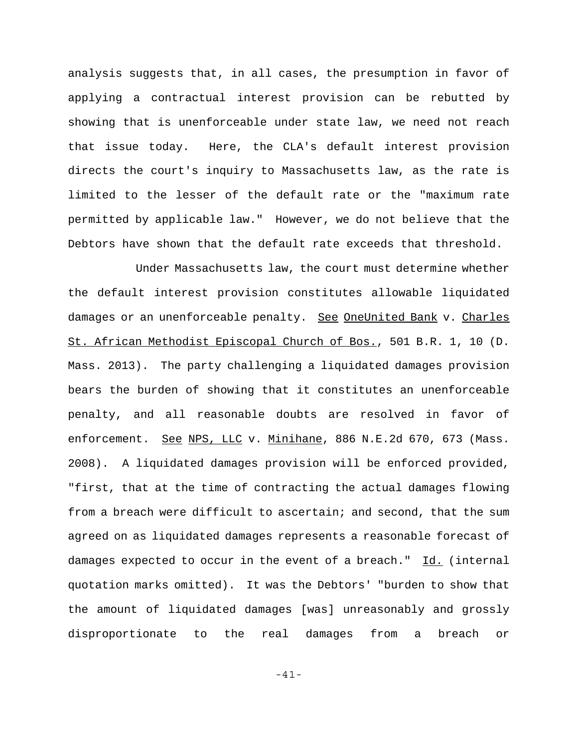analysis suggests that, in all cases, the presumption in favor of applying a contractual interest provision can be rebutted by showing that is unenforceable under state law, we need not reach that issue today. Here, the CLA's default interest provision directs the court's inquiry to Massachusetts law, as the rate is limited to the lesser of the default rate or the "maximum rate permitted by applicable law." However, we do not believe that the Debtors have shown that the default rate exceeds that threshold.

Under Massachusetts law, the court must determine whether the default interest provision constitutes allowable liquidated damages or an unenforceable penalty. See OneUnited Bank v. Charles St. African Methodist Episcopal Church of Bos., 501 B.R. 1, 10 (D. Mass. 2013). The party challenging a liquidated damages provision bears the burden of showing that it constitutes an unenforceable penalty, and all reasonable doubts are resolved in favor of enforcement. See NPS, LLC v. Minihane, 886 N.E.2d 670, 673 (Mass. 2008). A liquidated damages provision will be enforced provided, "first, that at the time of contracting the actual damages flowing from a breach were difficult to ascertain; and second, that the sum agreed on as liquidated damages represents a reasonable forecast of damages expected to occur in the event of a breach." Id. (internal quotation marks omitted). It was the Debtors' "burden to show that the amount of liquidated damages [was] unreasonably and grossly disproportionate to the real damages from a breach or

-41-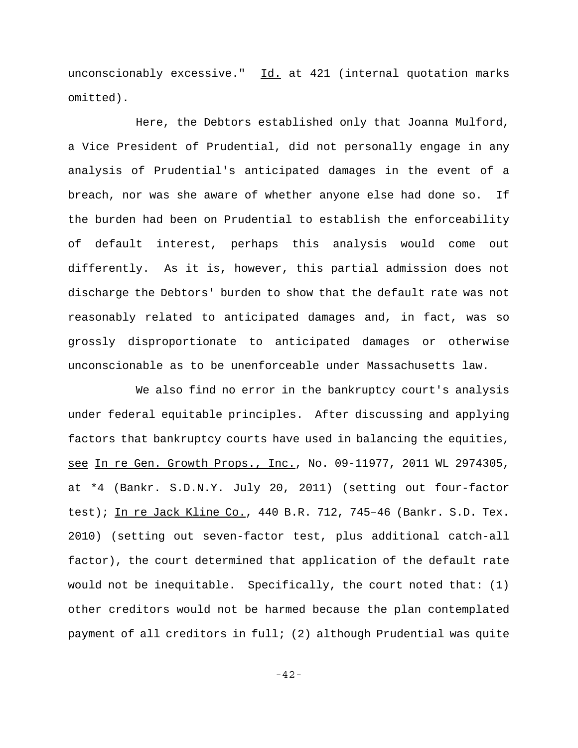unconscionably excessive." Id. at 421 (internal quotation marks omitted).

Here, the Debtors established only that Joanna Mulford, a Vice President of Prudential, did not personally engage in any analysis of Prudential's anticipated damages in the event of a breach, nor was she aware of whether anyone else had done so. If the burden had been on Prudential to establish the enforceability of default interest, perhaps this analysis would come out differently. As it is, however, this partial admission does not discharge the Debtors' burden to show that the default rate was not reasonably related to anticipated damages and, in fact, was so grossly disproportionate to anticipated damages or otherwise unconscionable as to be unenforceable under Massachusetts law.

We also find no error in the bankruptcy court's analysis under federal equitable principles. After discussing and applying factors that bankruptcy courts have used in balancing the equities, see In re Gen. Growth Props., Inc., No. 09-11977, 2011 WL 2974305, at \*4 (Bankr. S.D.N.Y. July 20, 2011) (setting out four-factor test); In re Jack Kline Co., 440 B.R. 712, 745-46 (Bankr. S.D. Tex. 2010) (setting out seven-factor test, plus additional catch-all factor), the court determined that application of the default rate would not be inequitable. Specifically, the court noted that: (1) other creditors would not be harmed because the plan contemplated payment of all creditors in full; (2) although Prudential was quite

-42-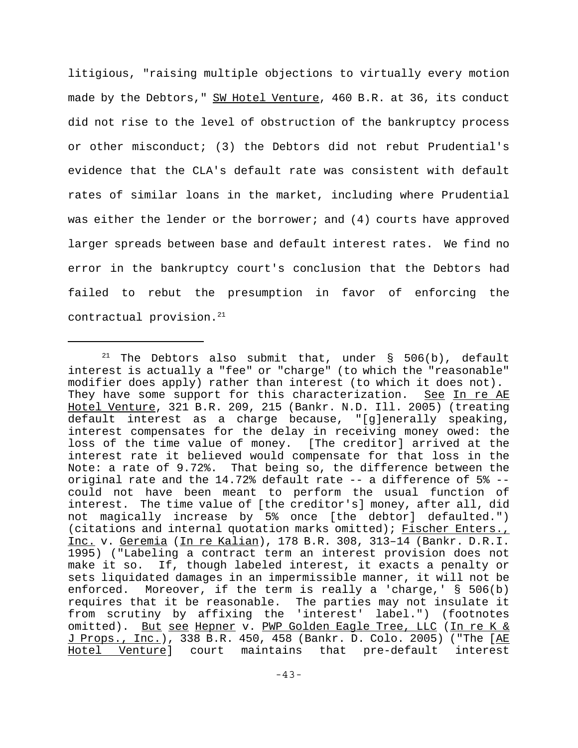litigious, "raising multiple objections to virtually every motion made by the Debtors," SW Hotel Venture, 460 B.R. at 36, its conduct did not rise to the level of obstruction of the bankruptcy process or other misconduct; (3) the Debtors did not rebut Prudential's evidence that the CLA's default rate was consistent with default rates of similar loans in the market, including where Prudential was either the lender or the borrower; and (4) courts have approved larger spreads between base and default interest rates. We find no error in the bankruptcy court's conclusion that the Debtors had failed to rebut the presumption in favor of enforcing the contractual provision. $21$ 

<sup>&</sup>lt;sup>21</sup> The Debtors also submit that, under  $\S$  506(b), default interest is actually a "fee" or "charge" (to which the "reasonable" modifier does apply) rather than interest (to which it does not). They have some support for this characterization. See In re AE Hotel Venture, 321 B.R. 209, 215 (Bankr. N.D. Ill. 2005) (treating default interest as a charge because, "[g]enerally speaking, interest compensates for the delay in receiving money owed: the loss of the time value of money. [The creditor] arrived at the interest rate it believed would compensate for that loss in the Note: a rate of 9.72%. That being so, the difference between the original rate and the  $14.72$ % default rate  $-$ - a difference of  $5$ %  $-$ could not have been meant to perform the usual function of interest. The time value of [the creditor's] money, after all, did not magically increase by 5% once [the debtor] defaulted.") (citations and internal quotation marks omitted); Fischer Enters., Inc. v. Geremia (In re Kalian), 178 B.R. 308, 313–14 (Bankr. D.R.I. 1995) ("Labeling a contract term an interest provision does not make it so. If, though labeled interest, it exacts a penalty or sets liquidated damages in an impermissible manner, it will not be enforced. Moreover, if the term is really a 'charge,' § 506(b) requires that it be reasonable. The parties may not insulate it from scrutiny by affixing the 'interest' label.") (footnotes omitted). But see Hepner v. PWP Golden Eagle Tree, LLC (In re K & J Props., Inc.), 338 B.R. 450, 458 (Bankr. D. Colo. 2005) ("The [AE Hotel Venture] court maintains that pre-default interest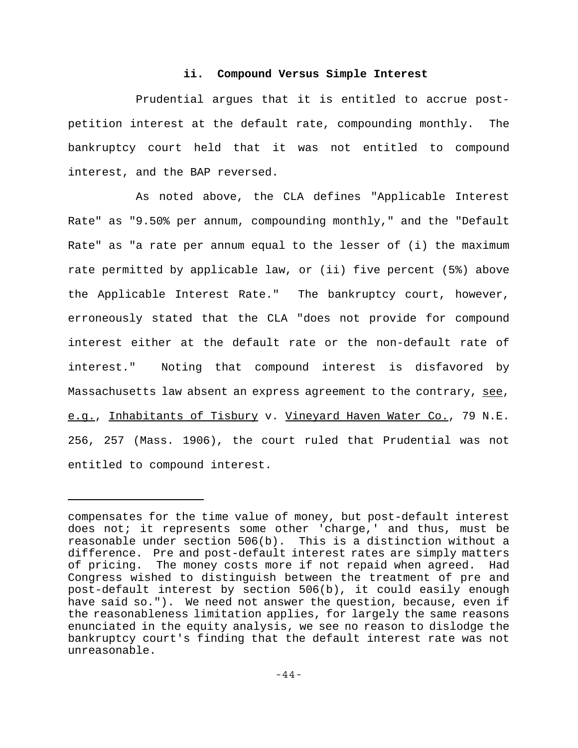### **ii. Compound Versus Simple Interest**

Prudential argues that it is entitled to accrue postpetition interest at the default rate, compounding monthly. The bankruptcy court held that it was not entitled to compound interest, and the BAP reversed.

As noted above, the CLA defines "Applicable Interest Rate" as "9.50% per annum, compounding monthly," and the "Default Rate" as "a rate per annum equal to the lesser of (i) the maximum rate permitted by applicable law, or (ii) five percent (5%) above the Applicable Interest Rate." The bankruptcy court, however, erroneously stated that the CLA "does not provide for compound interest either at the default rate or the non-default rate of interest." Noting that compound interest is disfavored by Massachusetts law absent an express agreement to the contrary, see, e.g., Inhabitants of Tisbury v. Vineyard Haven Water Co., 79 N.E. 256, 257 (Mass. 1906), the court ruled that Prudential was not entitled to compound interest.

compensates for the time value of money, but post-default interest does not; it represents some other 'charge,' and thus, must be reasonable under section 506(b). This is a distinction without a difference. Pre and post-default interest rates are simply matters of pricing. The money costs more if not repaid when agreed. Had Congress wished to distinguish between the treatment of pre and post-default interest by section 506(b), it could easily enough have said so."). We need not answer the question, because, even if the reasonableness limitation applies, for largely the same reasons enunciated in the equity analysis, we see no reason to dislodge the bankruptcy court's finding that the default interest rate was not unreasonable.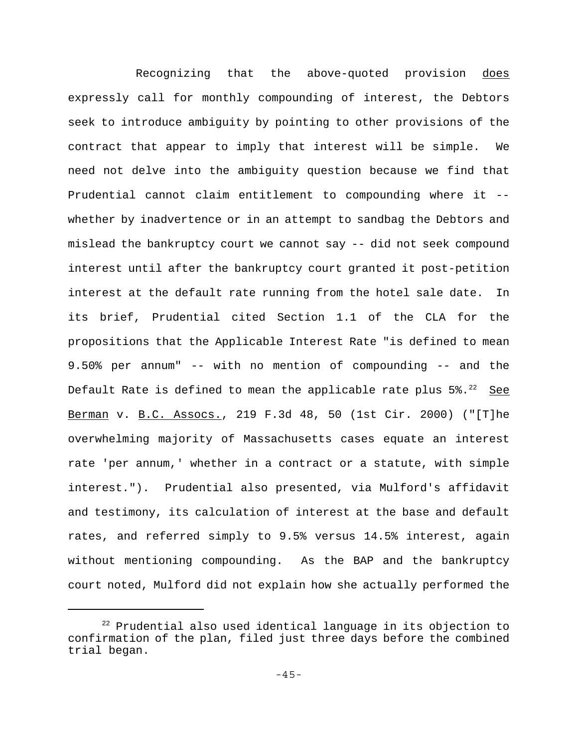Recognizing that the above-quoted provision does expressly call for monthly compounding of interest, the Debtors seek to introduce ambiguity by pointing to other provisions of the contract that appear to imply that interest will be simple. We need not delve into the ambiguity question because we find that Prudential cannot claim entitlement to compounding where it - whether by inadvertence or in an attempt to sandbag the Debtors and mislead the bankruptcy court we cannot say -- did not seek compound interest until after the bankruptcy court granted it post-petition interest at the default rate running from the hotel sale date. In its brief, Prudential cited Section 1.1 of the CLA for the propositions that the Applicable Interest Rate "is defined to mean 9.50% per annum" -- with no mention of compounding -- and the Default Rate is defined to mean the applicable rate plus  $5\%$ .<sup>22</sup> See Berman v. B.C. Assocs., 219 F.3d 48, 50 (1st Cir. 2000) ("[T]he overwhelming majority of Massachusetts cases equate an interest rate 'per annum,' whether in a contract or a statute, with simple interest."). Prudential also presented, via Mulford's affidavit and testimony, its calculation of interest at the base and default rates, and referred simply to 9.5% versus 14.5% interest, again without mentioning compounding. As the BAP and the bankruptcy court noted, Mulford did not explain how she actually performed the

<sup>&</sup>lt;sup>22</sup> Prudential also used identical language in its objection to confirmation of the plan, filed just three days before the combined trial began.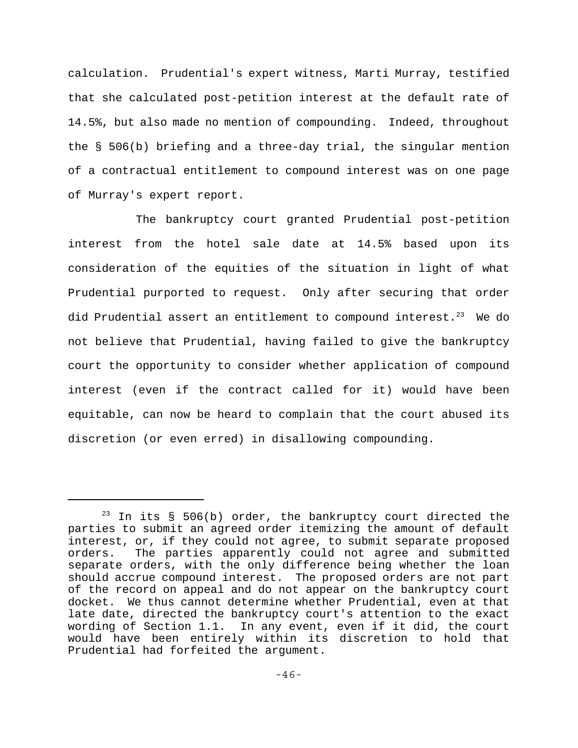calculation. Prudential's expert witness, Marti Murray, testified that she calculated post-petition interest at the default rate of 14.5%, but also made no mention of compounding. Indeed, throughout the § 506(b) briefing and a three-day trial, the singular mention of a contractual entitlement to compound interest was on one page of Murray's expert report.

The bankruptcy court granted Prudential post-petition interest from the hotel sale date at 14.5% based upon its consideration of the equities of the situation in light of what Prudential purported to request. Only after securing that order did Prudential assert an entitlement to compound interest. $^{23}$  We do not believe that Prudential, having failed to give the bankruptcy court the opportunity to consider whether application of compound interest (even if the contract called for it) would have been equitable, can now be heard to complain that the court abused its discretion (or even erred) in disallowing compounding.

 $^{23}$  In its § 506(b) order, the bankruptcy court directed the parties to submit an agreed order itemizing the amount of default interest, or, if they could not agree, to submit separate proposed orders. The parties apparently could not agree and submitted separate orders, with the only difference being whether the loan should accrue compound interest. The proposed orders are not part of the record on appeal and do not appear on the bankruptcy court docket. We thus cannot determine whether Prudential, even at that late date, directed the bankruptcy court's attention to the exact wording of Section 1.1. In any event, even if it did, the court would have been entirely within its discretion to hold that Prudential had forfeited the argument.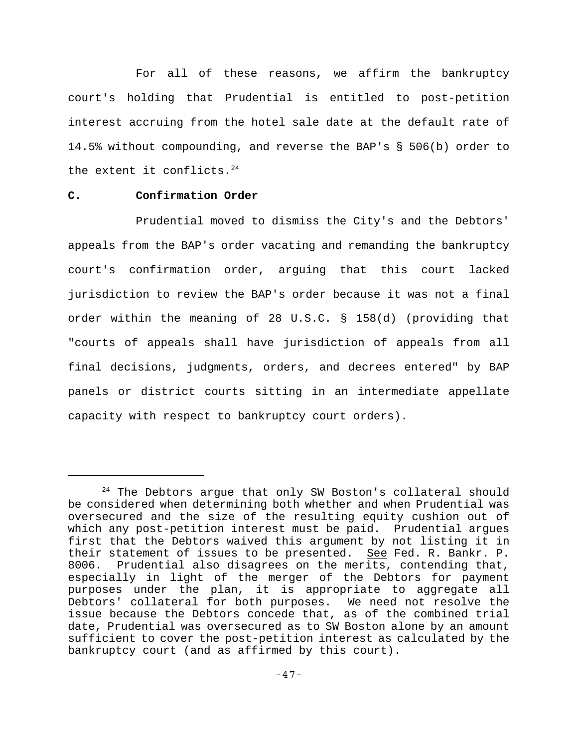For all of these reasons, we affirm the bankruptcy court's holding that Prudential is entitled to post-petition interest accruing from the hotel sale date at the default rate of 14.5% without compounding, and reverse the BAP's § 506(b) order to the extent it conflicts. $24$ 

## **C. Confirmation Order**

Prudential moved to dismiss the City's and the Debtors' appeals from the BAP's order vacating and remanding the bankruptcy court's confirmation order, arguing that this court lacked jurisdiction to review the BAP's order because it was not a final order within the meaning of 28 U.S.C. § 158(d) (providing that "courts of appeals shall have jurisdiction of appeals from all final decisions, judgments, orders, and decrees entered" by BAP panels or district courts sitting in an intermediate appellate capacity with respect to bankruptcy court orders).

 $24$  The Debtors argue that only SW Boston's collateral should be considered when determining both whether and when Prudential was oversecured and the size of the resulting equity cushion out of which any post-petition interest must be paid. Prudential argues first that the Debtors waived this argument by not listing it in their statement of issues to be presented. See Fed. R. Bankr. P. 8006. Prudential also disagrees on the merits, contending that, especially in light of the merger of the Debtors for payment purposes under the plan, it is appropriate to aggregate all Debtors' collateral for both purposes. We need not resolve the issue because the Debtors concede that, as of the combined trial date, Prudential was oversecured as to SW Boston alone by an amount sufficient to cover the post-petition interest as calculated by the bankruptcy court (and as affirmed by this court).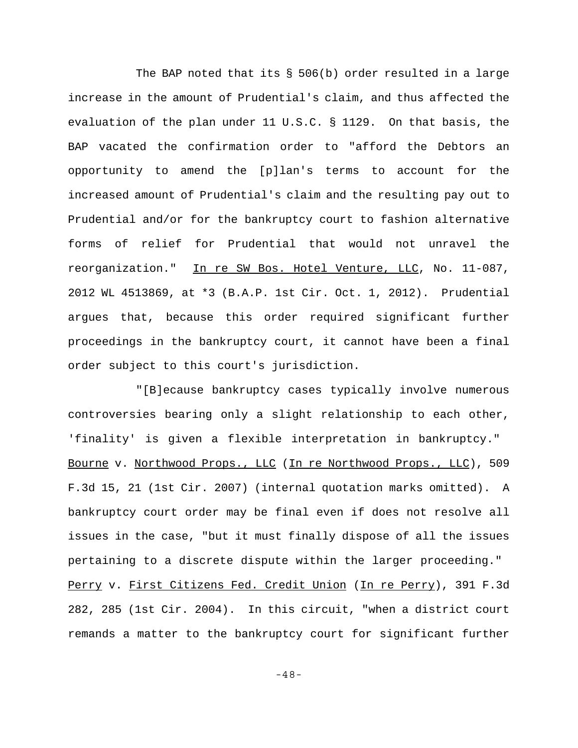The BAP noted that its § 506(b) order resulted in a large increase in the amount of Prudential's claim, and thus affected the evaluation of the plan under 11 U.S.C. § 1129. On that basis, the BAP vacated the confirmation order to "afford the Debtors an opportunity to amend the [p]lan's terms to account for the increased amount of Prudential's claim and the resulting pay out to Prudential and/or for the bankruptcy court to fashion alternative forms of relief for Prudential that would not unravel the reorganization." In re SW Bos. Hotel Venture, LLC, No. 11-087, 2012 WL 4513869, at \*3 (B.A.P. 1st Cir. Oct. 1, 2012). Prudential argues that, because this order required significant further proceedings in the bankruptcy court, it cannot have been a final order subject to this court's jurisdiction.

"[B]ecause bankruptcy cases typically involve numerous controversies bearing only a slight relationship to each other, 'finality' is given a flexible interpretation in bankruptcy." Bourne v. Northwood Props., LLC (In re Northwood Props., LLC), 509 F.3d 15, 21 (1st Cir. 2007) (internal quotation marks omitted). A bankruptcy court order may be final even if does not resolve all issues in the case, "but it must finally dispose of all the issues pertaining to a discrete dispute within the larger proceeding." Perry v. First Citizens Fed. Credit Union (In re Perry), 391 F.3d 282, 285 (1st Cir. 2004). In this circuit, "when a district court remands a matter to the bankruptcy court for significant further

-48-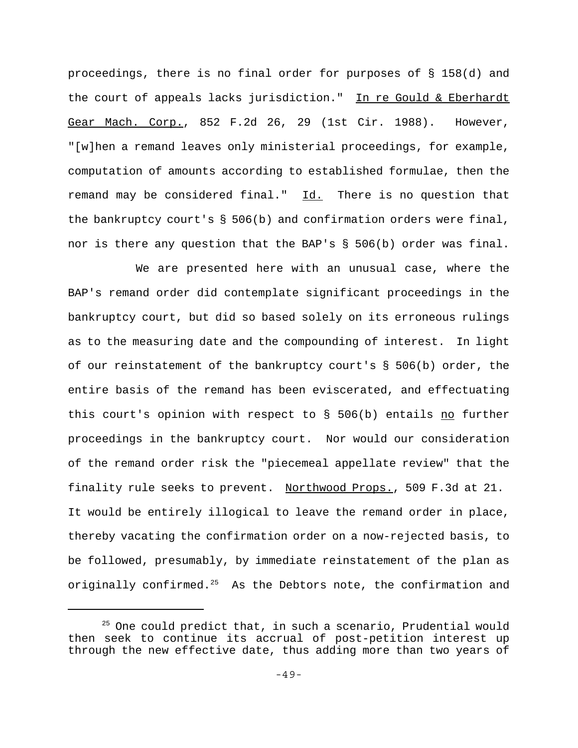proceedings, there is no final order for purposes of § 158(d) and the court of appeals lacks jurisdiction." In re Gould & Eberhardt Gear Mach. Corp., 852 F.2d 26, 29 (1st Cir. 1988). However, "[w]hen a remand leaves only ministerial proceedings, for example, computation of amounts according to established formulae, then the remand may be considered final." Id. There is no question that the bankruptcy court's § 506(b) and confirmation orders were final, nor is there any question that the BAP's § 506(b) order was final.

We are presented here with an unusual case, where the BAP's remand order did contemplate significant proceedings in the bankruptcy court, but did so based solely on its erroneous rulings as to the measuring date and the compounding of interest. In light of our reinstatement of the bankruptcy court's § 506(b) order, the entire basis of the remand has been eviscerated, and effectuating this court's opinion with respect to § 506(b) entails no further proceedings in the bankruptcy court. Nor would our consideration of the remand order risk the "piecemeal appellate review" that the finality rule seeks to prevent. Northwood Props., 509 F.3d at 21. It would be entirely illogical to leave the remand order in place, thereby vacating the confirmation order on a now-rejected basis, to be followed, presumably, by immediate reinstatement of the plan as originally confirmed.<sup>25</sup> As the Debtors note, the confirmation and

<sup>&</sup>lt;sup>25</sup> One could predict that, in such a scenario, Prudential would then seek to continue its accrual of post-petition interest up through the new effective date, thus adding more than two years of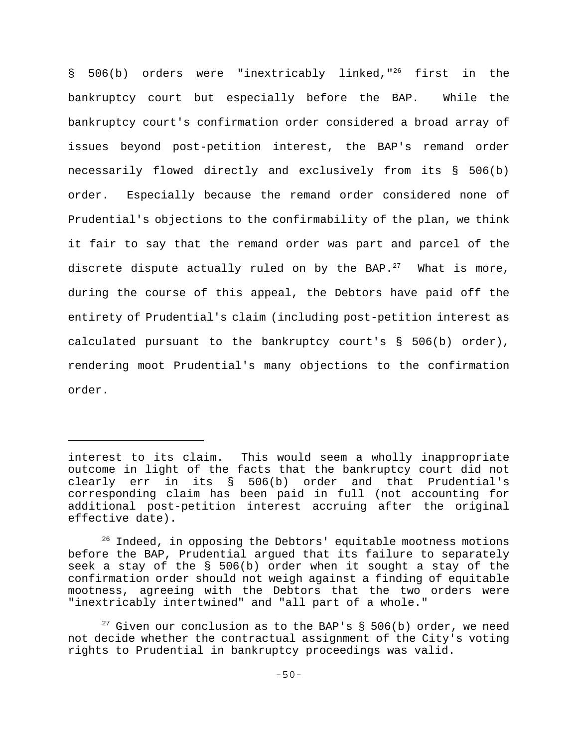§ 506(b) orders were "inextricably linked,"<sup>26</sup> first in the bankruptcy court but especially before the BAP. While the bankruptcy court's confirmation order considered a broad array of issues beyond post-petition interest, the BAP's remand order necessarily flowed directly and exclusively from its § 506(b) order. Especially because the remand order considered none of Prudential's objections to the confirmability of the plan, we think it fair to say that the remand order was part and parcel of the discrete dispute actually ruled on by the BAP. $^{27}$  What is more, during the course of this appeal, the Debtors have paid off the entirety of Prudential's claim (including post-petition interest as calculated pursuant to the bankruptcy court's § 506(b) order), rendering moot Prudential's many objections to the confirmation order.

interest to its claim. This would seem a wholly inappropriate outcome in light of the facts that the bankruptcy court did not clearly err in its § 506(b) order and that Prudential's corresponding claim has been paid in full (not accounting for additional post-petition interest accruing after the original effective date).

<sup>&</sup>lt;sup>26</sup> Indeed, in opposing the Debtors' equitable mootness motions before the BAP, Prudential argued that its failure to separately seek a stay of the § 506(b) order when it sought a stay of the confirmation order should not weigh against a finding of equitable mootness, agreeing with the Debtors that the two orders were "inextricably intertwined" and "all part of a whole."

<sup>&</sup>lt;sup>27</sup> Given our conclusion as to the BAP's § 506(b) order, we need not decide whether the contractual assignment of the City's voting rights to Prudential in bankruptcy proceedings was valid.